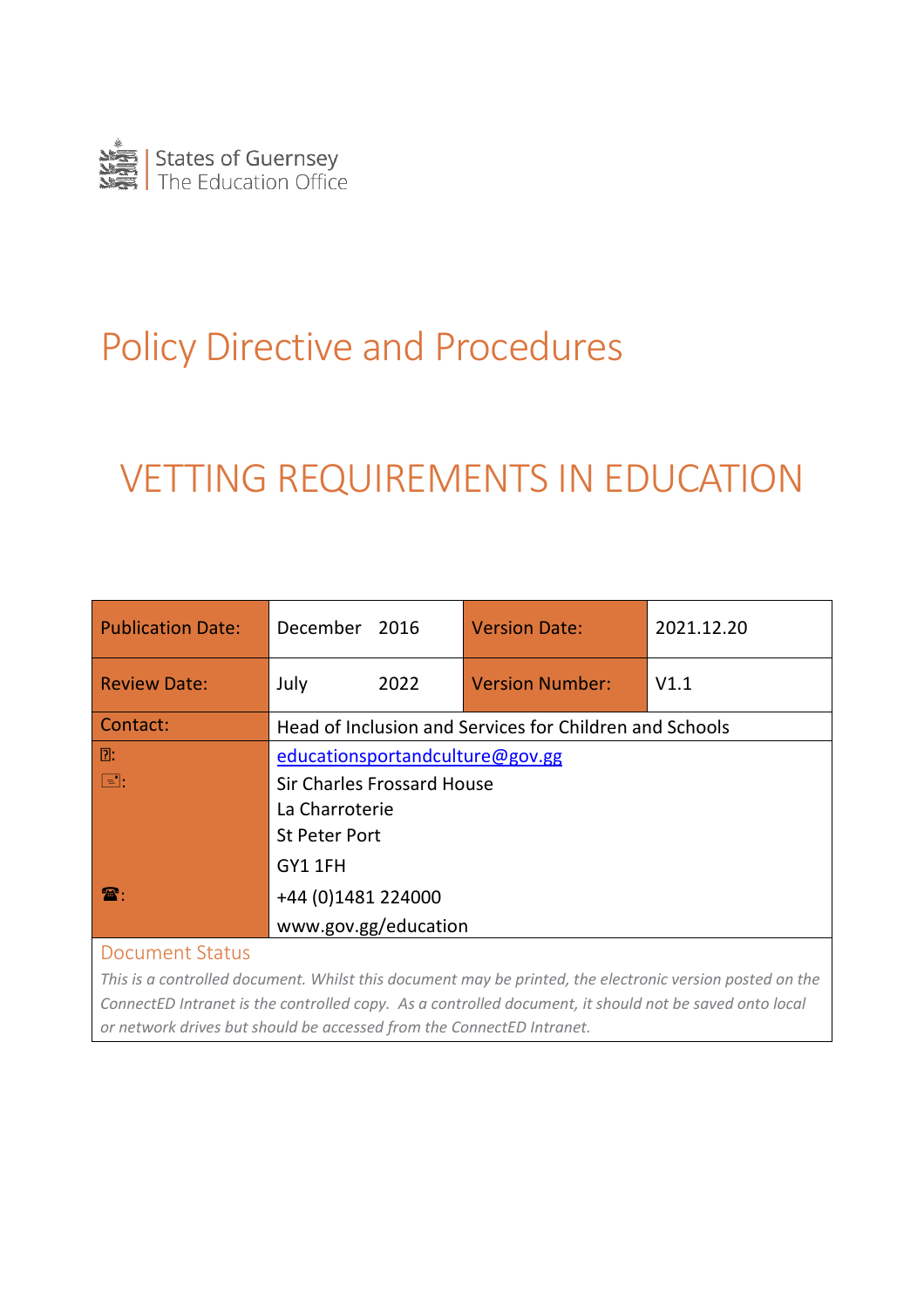

# Policy Directive and Procedures

# VETTING REQUIREMENTS IN EDUCATION

| <b>Publication Date:</b> | December 2016                                           | <b>Version Date:</b>   | 2021.12.20 |
|--------------------------|---------------------------------------------------------|------------------------|------------|
| <b>Review Date:</b>      | July<br>2022                                            | <b>Version Number:</b> | V1.1       |
| Contact:                 | Head of Inclusion and Services for Children and Schools |                        |            |
| D:                       | educationsportandculture@gov.gg                         |                        |            |
| $\boxed{=}$ :            | <b>Sir Charles Frossard House</b>                       |                        |            |
|                          | La Charroterie                                          |                        |            |
|                          | <b>St Peter Port</b>                                    |                        |            |
|                          | GY1 1FH                                                 |                        |            |
| $\mathbf{R}$             | +44 (0)1481 224000                                      |                        |            |
|                          | www.gov.gg/education                                    |                        |            |
| <b>Document Status</b>   |                                                         |                        |            |

<span id="page-0-0"></span>*This is a controlled document. Whilst this document may be printed, the electronic version posted on the ConnectED Intranet is the controlled copy. As a controlled document, it should not be saved onto local or network drives but should be accessed from the ConnectED Intranet.*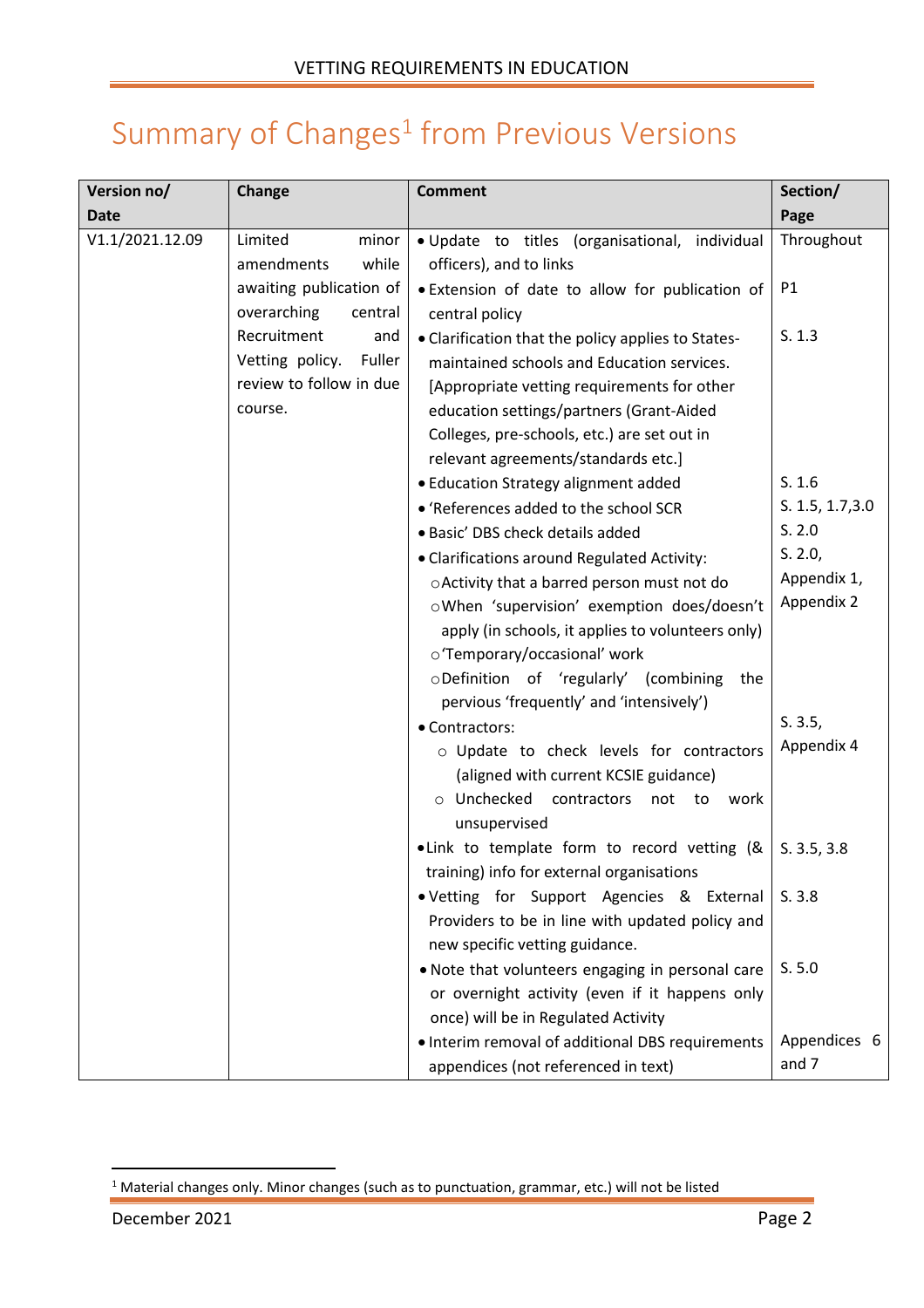## Summary of  $Changes<sup>1</sup>$  from Previous Versions

| Version no/     | Change                    | <b>Comment</b>                                                   | Section/         |
|-----------------|---------------------------|------------------------------------------------------------------|------------------|
| <b>Date</b>     |                           |                                                                  | Page             |
| V1.1/2021.12.09 | Limited<br>minor          | · Update to titles (organisational, individual                   | Throughout       |
|                 | while<br>amendments       | officers), and to links                                          |                  |
|                 | awaiting publication of   | . Extension of date to allow for publication of                  | P1               |
|                 | overarching<br>central    | central policy                                                   |                  |
|                 | Recruitment<br>and        | • Clarification that the policy applies to States-               | S. 1.3           |
|                 | Vetting policy.<br>Fuller | maintained schools and Education services.                       |                  |
|                 | review to follow in due   | [Appropriate vetting requirements for other                      |                  |
|                 | course.                   | education settings/partners (Grant-Aided                         |                  |
|                 |                           | Colleges, pre-schools, etc.) are set out in                      |                  |
|                 |                           | relevant agreements/standards etc.]                              |                  |
|                 |                           | • Education Strategy alignment added                             | S. 1.6           |
|                 |                           | • 'References added to the school SCR                            | S. 1.5, 1.7, 3.0 |
|                 |                           | · Basic' DBS check details added                                 | S. 2.0           |
|                 |                           | • Clarifications around Regulated Activity:                      | S. 2.0,          |
|                 |                           | oActivity that a barred person must not do                       | Appendix 1,      |
|                 |                           | oWhen 'supervision' exemption does/doesn't                       | Appendix 2       |
|                 |                           | apply (in schools, it applies to volunteers only)                |                  |
|                 |                           | o'Temporary/occasional' work                                     |                  |
|                 |                           | oDefinition of 'regularly' (combining<br>the                     |                  |
|                 |                           | pervious 'frequently' and 'intensively')                         |                  |
|                 |                           | • Contractors:                                                   | S. 3.5,          |
|                 |                           | o Update to check levels for contractors                         | Appendix 4       |
|                 |                           | (aligned with current KCSIE guidance)                            |                  |
|                 |                           | o Unchecked contractors<br>not to<br>work                        |                  |
|                 |                           | unsupervised                                                     |                  |
|                 |                           | • Link to template form to record vetting (& $\vert$ S. 3.5, 3.8 |                  |
|                 |                           | training) info for external organisations                        |                  |
|                 |                           | . Vetting for Support Agencies & External                        | S.3.8            |
|                 |                           | Providers to be in line with updated policy and                  |                  |
|                 |                           | new specific vetting guidance.                                   |                  |
|                 |                           | . Note that volunteers engaging in personal care                 | S. 5.0           |
|                 |                           | or overnight activity (even if it happens only                   |                  |
|                 |                           | once) will be in Regulated Activity                              |                  |
|                 |                           | • Interim removal of additional DBS requirements                 | Appendices 6     |
|                 |                           | appendices (not referenced in text)                              | and 7            |

<sup>1</sup> Material changes only. Minor changes (such as to punctuation, grammar, etc.) will not be listed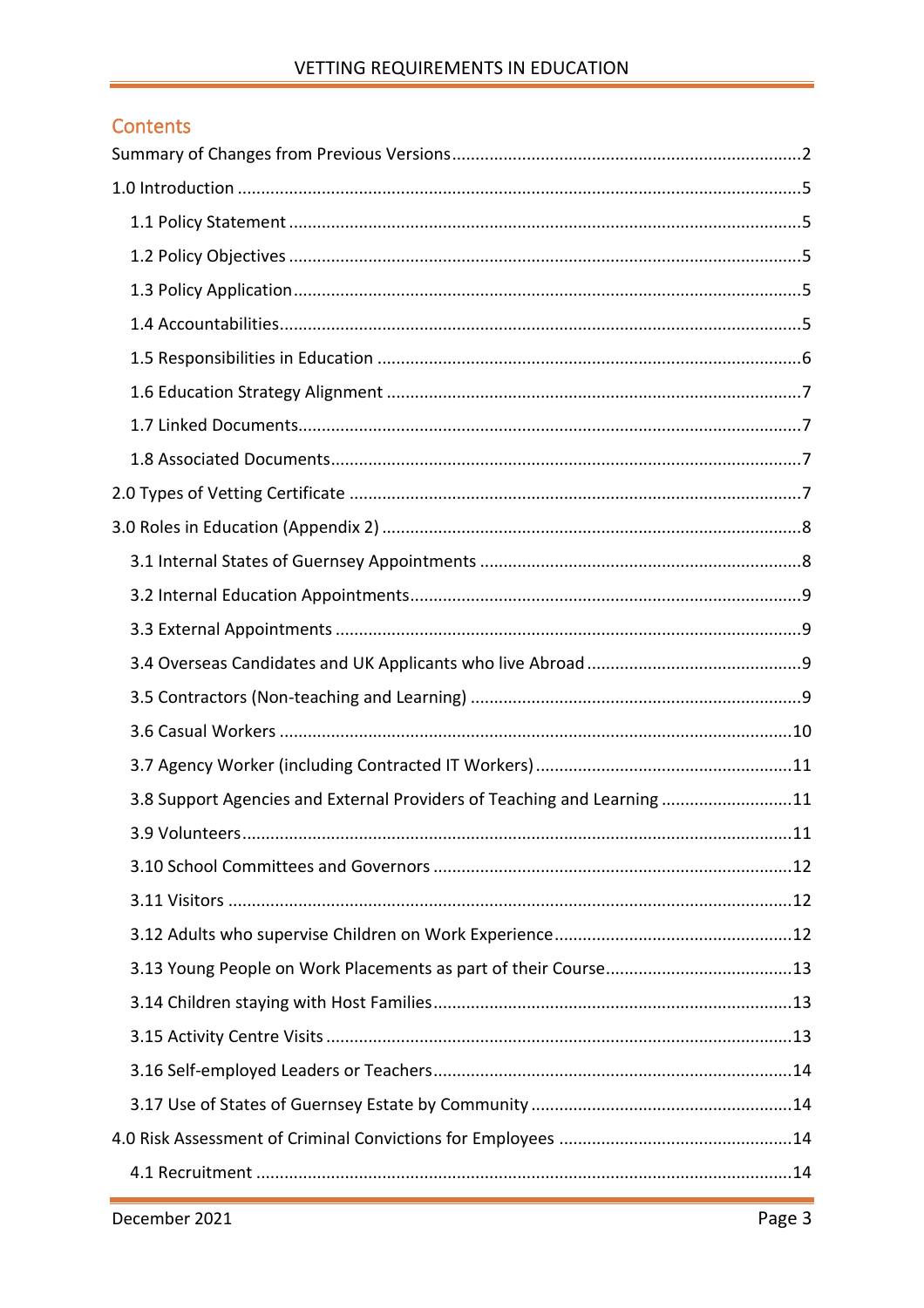#### VETTING REQUIREMENTS IN EDUCATION

#### Contents

| 3.8 Support Agencies and External Providers of Teaching and Learning 11 |
|-------------------------------------------------------------------------|
| 11                                                                      |
|                                                                         |
|                                                                         |
|                                                                         |
|                                                                         |
|                                                                         |
|                                                                         |
|                                                                         |
|                                                                         |
|                                                                         |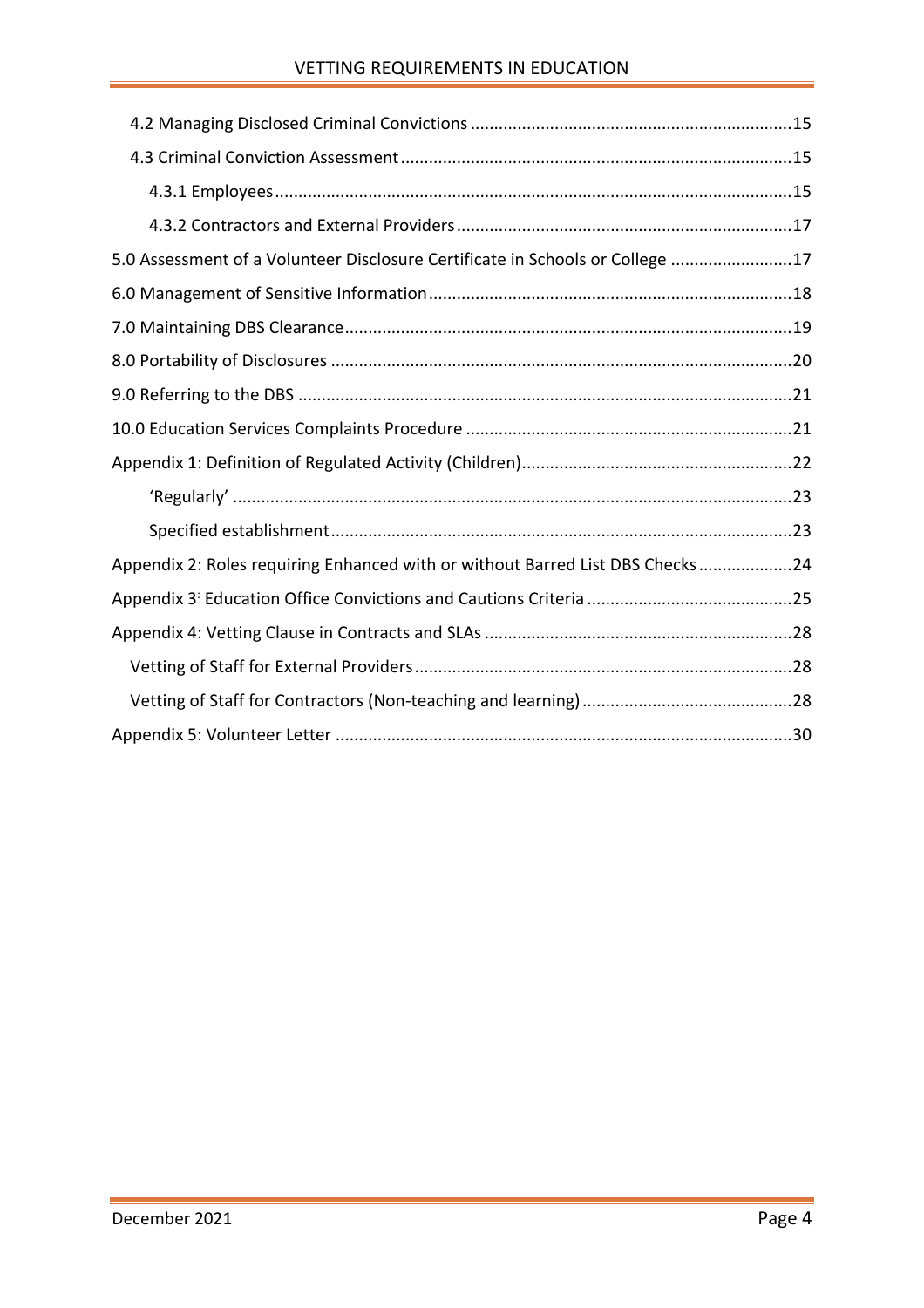#### VETTING REQUIREMENTS IN EDUCATION

| 5.0 Assessment of a Volunteer Disclosure Certificate in Schools or College 17 |  |
|-------------------------------------------------------------------------------|--|
|                                                                               |  |
|                                                                               |  |
|                                                                               |  |
|                                                                               |  |
|                                                                               |  |
|                                                                               |  |
|                                                                               |  |
|                                                                               |  |
| Appendix 2: Roles requiring Enhanced with or without Barred List DBS Checks24 |  |
|                                                                               |  |
|                                                                               |  |
|                                                                               |  |
|                                                                               |  |
|                                                                               |  |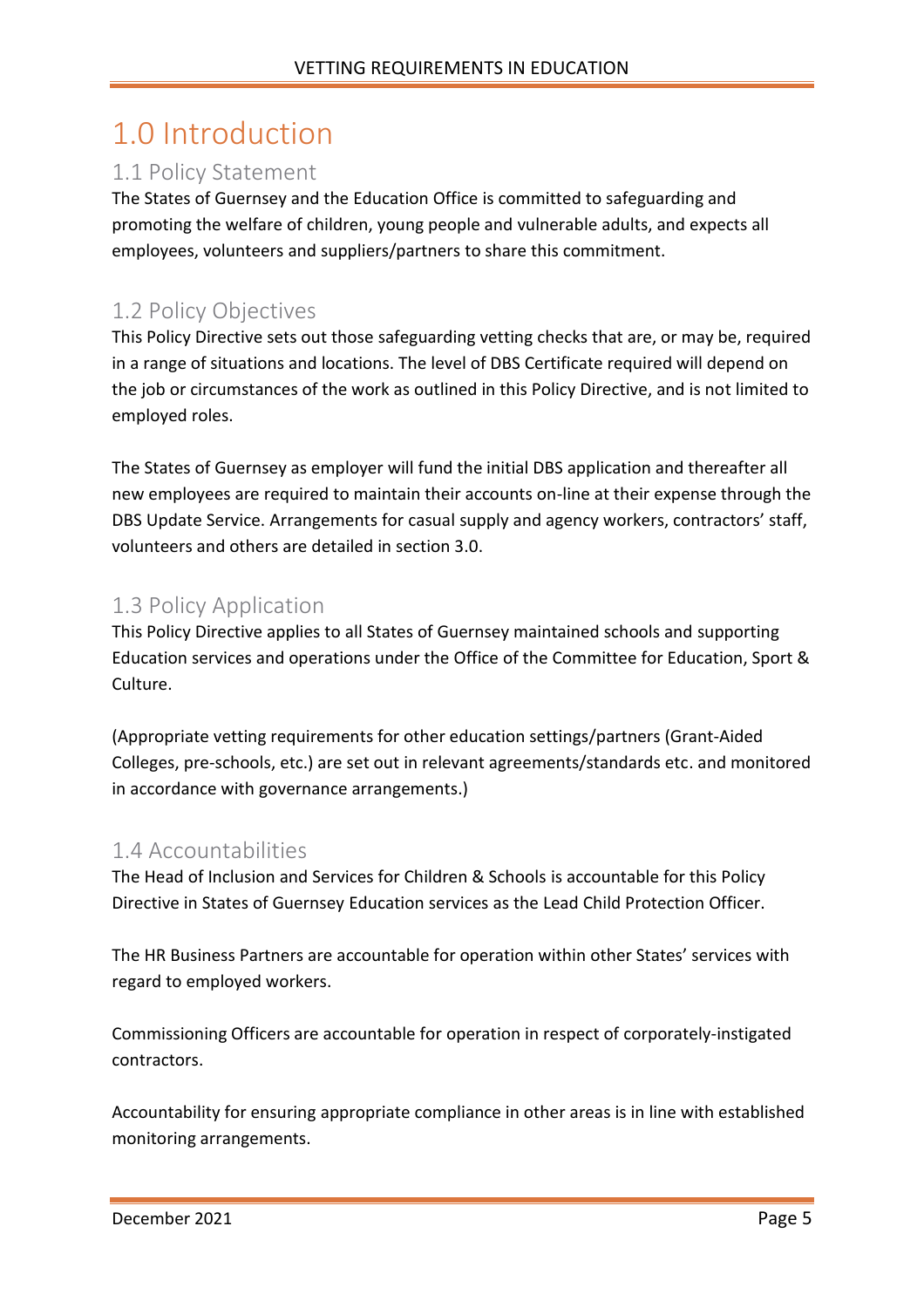## <span id="page-4-0"></span>1.0 Introduction

### <span id="page-4-1"></span>1.1 Policy Statement

The States of Guernsey and the Education Office is committed to safeguarding and promoting the welfare of children, young people and vulnerable adults, and expects all employees, volunteers and suppliers/partners to share this commitment.

### <span id="page-4-2"></span>1.2 Policy Objectives

This Policy Directive sets out those safeguarding vetting checks that are, or may be, required in a range of situations and locations. The level of DBS Certificate required will depend on the job or circumstances of the work as outlined in this Policy Directive, and is not limited to employed roles.

The States of Guernsey as employer will fund the initial DBS application and thereafter all new employees are required to maintain their accounts on-line at their expense through the DBS Update Service. Arrangements for casual supply and agency workers, contractors' staff, volunteers and others are detailed in section 3.0.

#### <span id="page-4-3"></span>1.3 Policy Application

This Policy Directive applies to all States of Guernsey maintained schools and supporting Education services and operations under the Office of the Committee for Education, Sport & Culture.

(Appropriate vetting requirements for other education settings/partners (Grant-Aided Colleges, pre-schools, etc.) are set out in relevant agreements/standards etc. and monitored in accordance with governance arrangements.)

#### <span id="page-4-4"></span>1.4 Accountabilities

The Head of Inclusion and Services for Children & Schools is accountable for this Policy Directive in States of Guernsey Education services as the Lead Child Protection Officer.

The HR Business Partners are accountable for operation within other States' services with regard to employed workers.

Commissioning Officers are accountable for operation in respect of corporately-instigated contractors.

Accountability for ensuring appropriate compliance in other areas is in line with established monitoring arrangements.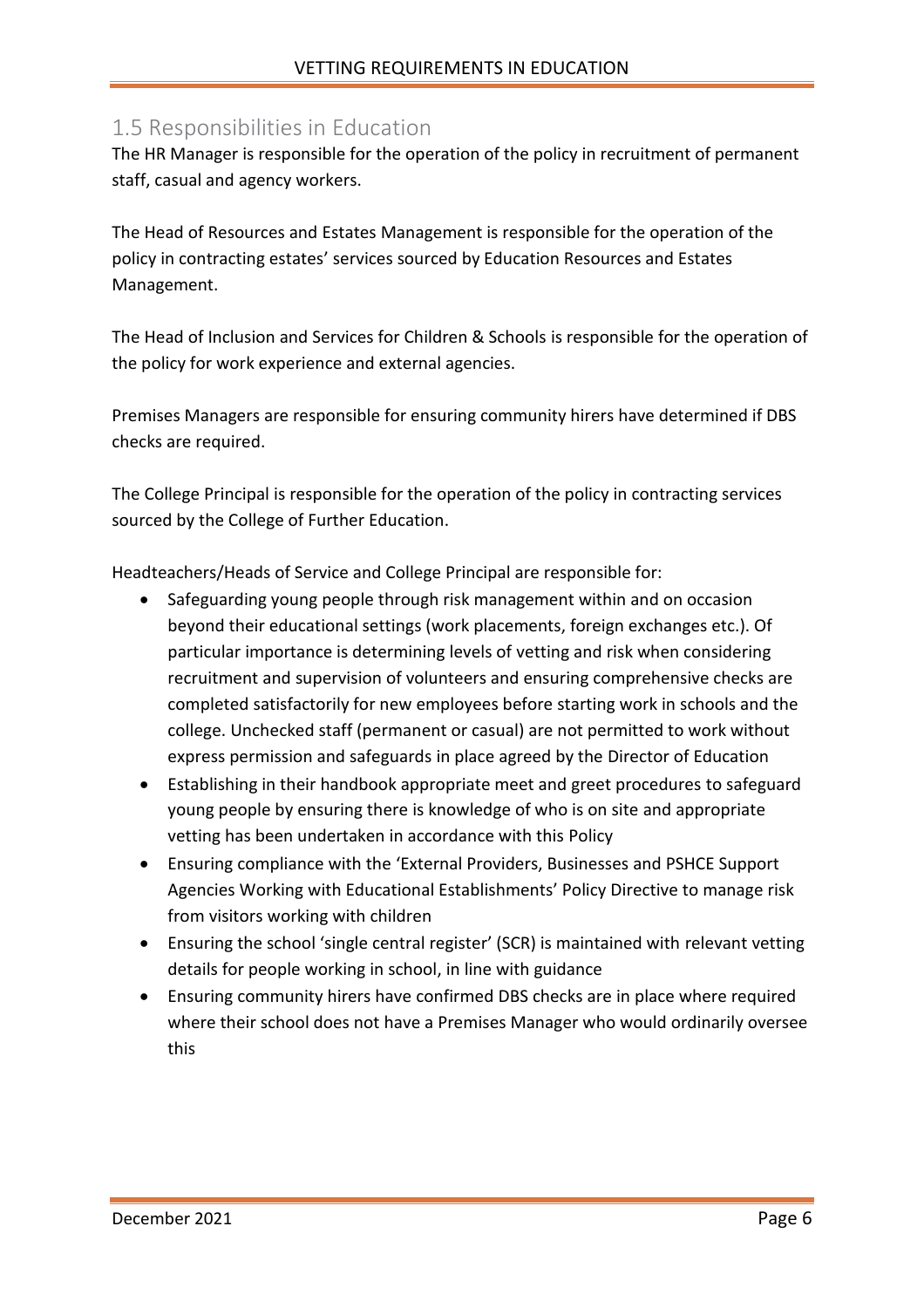#### <span id="page-5-0"></span>1.5 Responsibilities in Education

The HR Manager is responsible for the operation of the policy in recruitment of permanent staff, casual and agency workers.

The Head of Resources and Estates Management is responsible for the operation of the policy in contracting estates' services sourced by Education Resources and Estates Management.

The Head of Inclusion and Services for Children & Schools is responsible for the operation of the policy for work experience and external agencies.

Premises Managers are responsible for ensuring community hirers have determined if DBS checks are required.

The College Principal is responsible for the operation of the policy in contracting services sourced by the College of Further Education.

Headteachers/Heads of Service and College Principal are responsible for:

- Safeguarding young people through risk management within and on occasion beyond their educational settings (work placements, foreign exchanges etc.). Of particular importance is determining levels of vetting and risk when considering recruitment and supervision of volunteers and ensuring comprehensive checks are completed satisfactorily for new employees before starting work in schools and the college. Unchecked staff (permanent or casual) are not permitted to work without express permission and safeguards in place agreed by the Director of Education
- Establishing in their handbook appropriate meet and greet procedures to safeguard young people by ensuring there is knowledge of who is on site and appropriate vetting has been undertaken in accordance with this Policy
- Ensuring compliance with the 'External Providers, Businesses and PSHCE Support Agencies Working with Educational Establishments' Policy Directive to manage risk from visitors working with children
- Ensuring the school 'single central register' (SCR) is maintained with relevant vetting details for people working in school, in line with guidance
- Ensuring community hirers have confirmed DBS checks are in place where required where their school does not have a Premises Manager who would ordinarily oversee this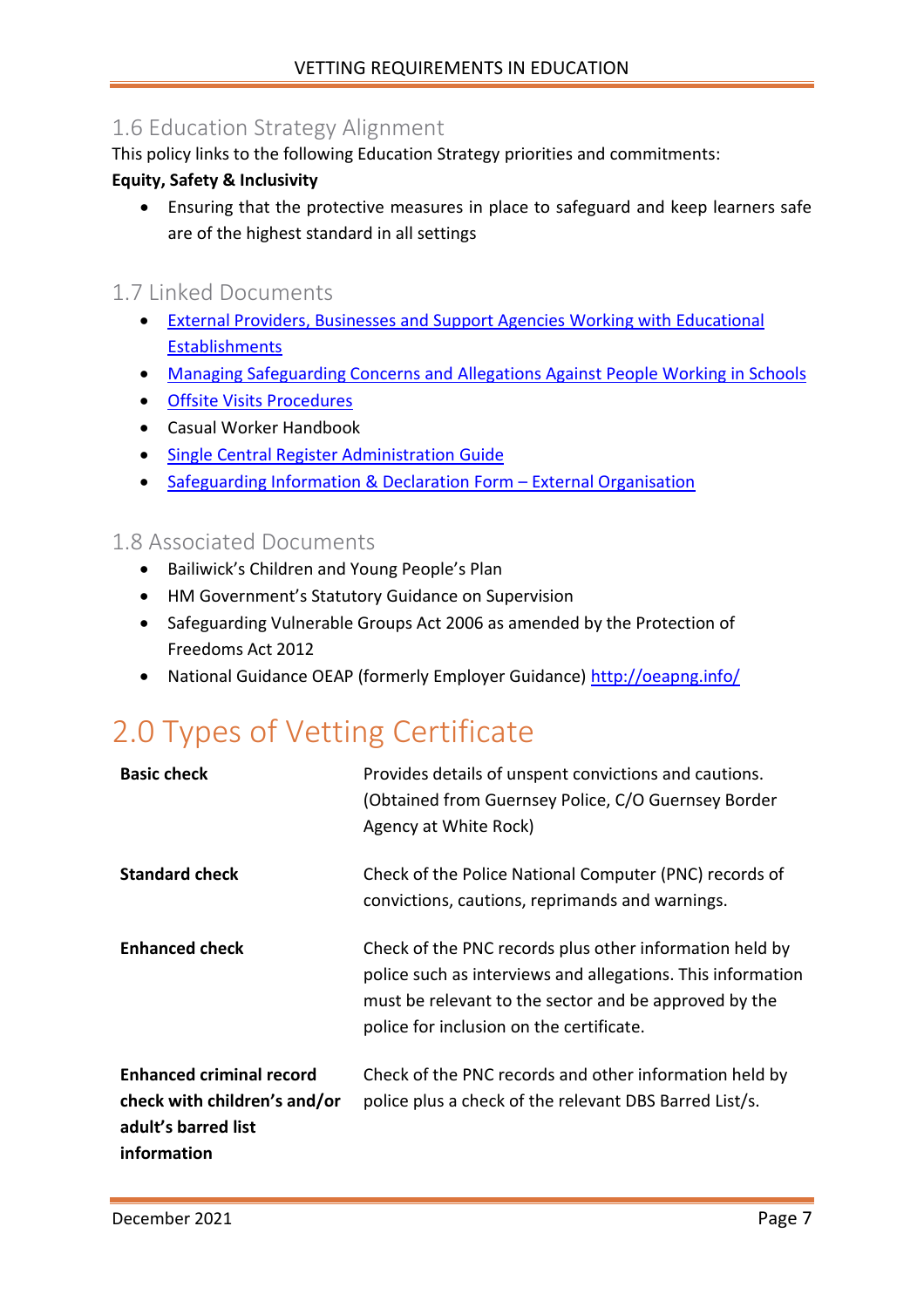### <span id="page-6-0"></span>1.6 Education Strategy Alignment

This policy links to the following Education Strategy priorities and commitments:

#### **Equity, Safety & Inclusivity**

• Ensuring that the protective measures in place to safeguard and keep learners safe are of the highest standard in all settings

#### <span id="page-6-1"></span>1.7 Linked Documents

- External Providers, Businesses [and Support Agencies Working with Educational](http://bridge/teamsite/education/policies/External%20Providers/Forms/AllItems.aspx)  [Establishments](http://bridge/teamsite/education/policies/External%20Providers/Forms/AllItems.aspx)
- [Managing Safeguarding Concerns and Allegations Against People Working in Schools](http://bridge/teamsite/education/policies/Safeguarding/Forms/AllItems.aspx)
- [Offsite Visits Procedures](http://bridge/teamsite/education/policies/Outdoor%20Education/Forms/AllItems.aspx)
- Casual Worker Handbook
- [Single Central Register Administration Guide](http://bridge/teamsite/education/SCR/SitePages/Home.aspx)
- [Safeguarding Information & Declaration Form](http://bridge/teamsite/education/SCR/SitePages/Home.aspx) External Organisation

#### <span id="page-6-2"></span>1.8 Associated Documents

- Bailiwick's Children and Young People's Plan
- HM Government's Statutory Guidance on Supervision
- Safeguarding Vulnerable Groups Act 2006 as amended by the Protection of Freedoms Act 2012
- National Guidance OEAP (formerly Employer Guidance) <http://oeapng.info/>

## <span id="page-6-3"></span>2.0 Types of Vetting Certificate

| <b>Basic check</b>                                                                                    | Provides details of unspent convictions and cautions.<br>(Obtained from Guernsey Police, C/O Guernsey Border<br>Agency at White Rock)                                                                                       |
|-------------------------------------------------------------------------------------------------------|-----------------------------------------------------------------------------------------------------------------------------------------------------------------------------------------------------------------------------|
| <b>Standard check</b>                                                                                 | Check of the Police National Computer (PNC) records of<br>convictions, cautions, reprimands and warnings.                                                                                                                   |
| <b>Enhanced check</b>                                                                                 | Check of the PNC records plus other information held by<br>police such as interviews and allegations. This information<br>must be relevant to the sector and be approved by the<br>police for inclusion on the certificate. |
| <b>Enhanced criminal record</b><br>check with children's and/or<br>adult's barred list<br>information | Check of the PNC records and other information held by<br>police plus a check of the relevant DBS Barred List/s.                                                                                                            |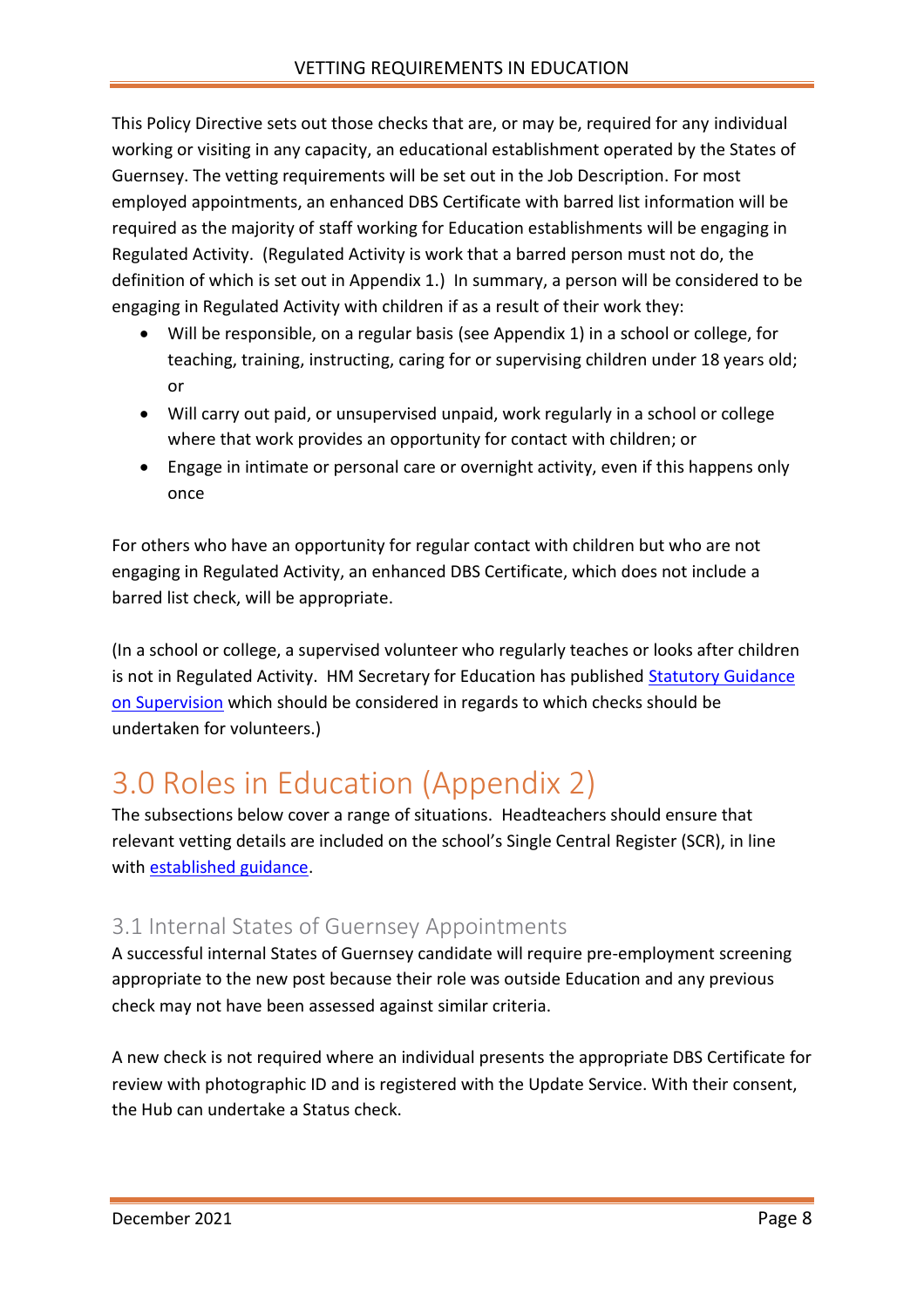This Policy Directive sets out those checks that are, or may be, required for any individual working or visiting in any capacity, an educational establishment operated by the States of Guernsey. The vetting requirements will be set out in the Job Description. For most employed appointments, an enhanced DBS Certificate with barred list information will be required as the majority of staff working for Education establishments will be engaging in Regulated Activity. (Regulated Activity is work that a barred person must not do, the definition of which is set out in Appendix 1.) In summary, a person will be considered to be engaging in Regulated Activity with children if as a result of their work they:

- Will be responsible, on a regular basis (see Appendix 1) in a school or college, for teaching, training, instructing, caring for or supervising children under 18 years old; or
- Will carry out paid, or unsupervised unpaid, work regularly in a school or college where that work provides an opportunity for contact with children; or
- Engage in intimate or personal care or overnight activity, even if this happens only once

For others who have an opportunity for regular contact with children but who are not engaging in Regulated Activity, an enhanced DBS Certificate, which does not include a barred list check, will be appropriate.

(In a school or college, a supervised volunteer who regularly teaches or looks after children is not in Regulated Activity. HM Secretary for Education has published [Statutory Guidance](https://www.gov.uk/government/publications/supervision-of-activity-with-children)  [on Supervision](https://www.gov.uk/government/publications/supervision-of-activity-with-children) which should be considered in regards to which checks should be undertaken for volunteers.)

## <span id="page-7-0"></span>3.0 Roles in Education (Appendix 2)

The subsections below cover a range of situations. Headteachers should ensure that relevant vetting details are included on the school's Single Central Register (SCR), in line with [established guidance.](http://bridge/teamsite/education/SCR/SitePages/Home.aspx)

### <span id="page-7-1"></span>3.1 Internal States of Guernsey Appointments

A successful internal States of Guernsey candidate will require pre-employment screening appropriate to the new post because their role was outside Education and any previous check may not have been assessed against similar criteria.

A new check is not required where an individual presents the appropriate DBS Certificate for review with photographic ID and is registered with the Update Service. With their consent, the Hub can undertake a Status check.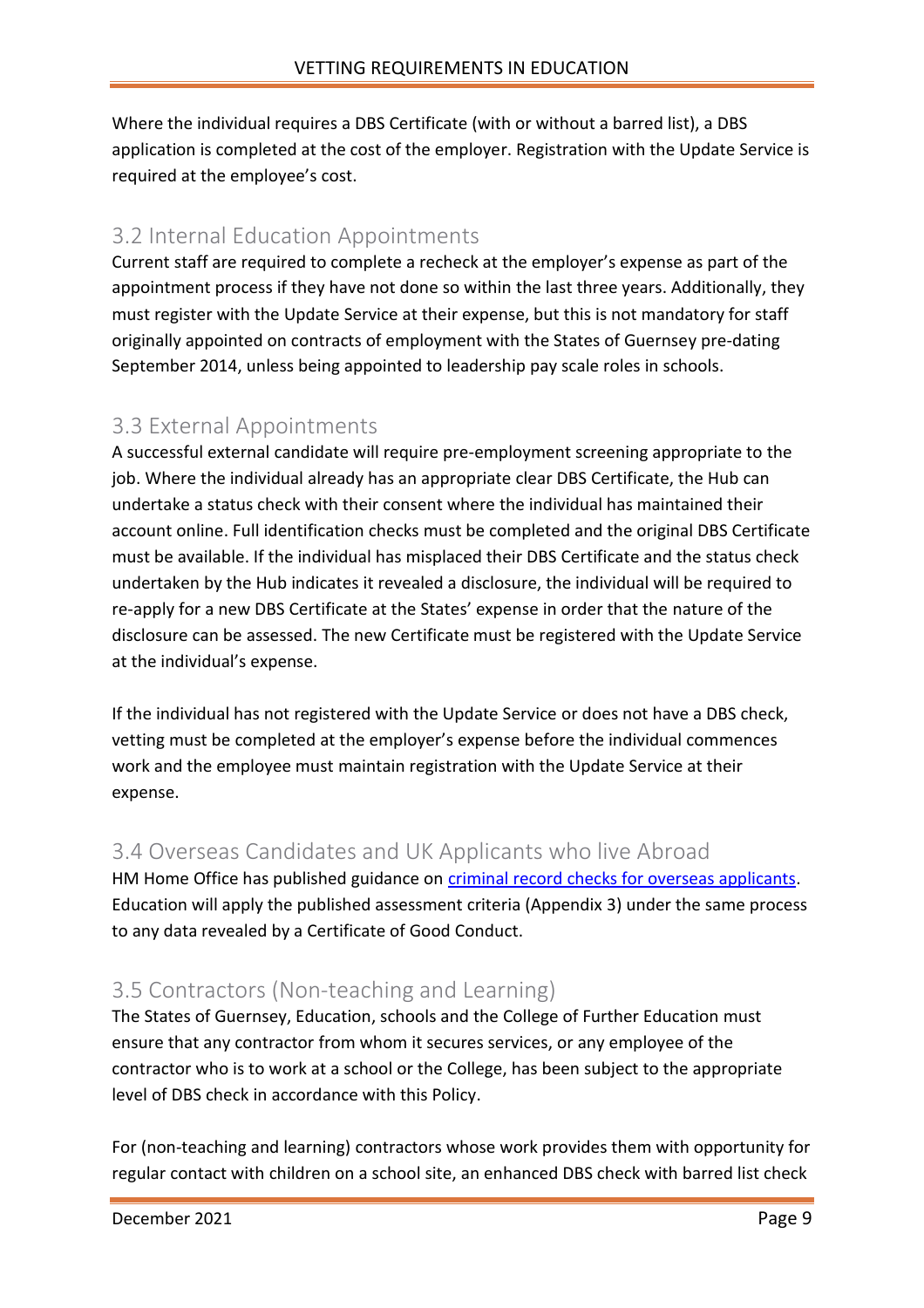Where the individual requires a DBS Certificate (with or without a barred list), a DBS application is completed at the cost of the employer. Registration with the Update Service is required at the employee's cost.

### <span id="page-8-0"></span>3.2 Internal Education Appointments

Current staff are required to complete a recheck at the employer's expense as part of the appointment process if they have not done so within the last three years. Additionally, they must register with the Update Service at their expense, but this is not mandatory for staff originally appointed on contracts of employment with the States of Guernsey pre-dating September 2014, unless being appointed to leadership pay scale roles in schools.

### <span id="page-8-1"></span>3.3 External Appointments

A successful external candidate will require pre-employment screening appropriate to the job. Where the individual already has an appropriate clear DBS Certificate, the Hub can undertake a status check with their consent where the individual has maintained their account online. Full identification checks must be completed and the original DBS Certificate must be available. If the individual has misplaced their DBS Certificate and the status check undertaken by the Hub indicates it revealed a disclosure, the individual will be required to re-apply for a new DBS Certificate at the States' expense in order that the nature of the disclosure can be assessed. The new Certificate must be registered with the Update Service at the individual's expense.

If the individual has not registered with the Update Service or does not have a DBS check, vetting must be completed at the employer's expense before the individual commences work and the employee must maintain registration with the Update Service at their expense.

### <span id="page-8-2"></span>3.4 Overseas Candidates and UK Applicants who live Abroad

HM Home Office has published guidance on *criminal record checks for overseas applicants*. Education will apply the published assessment criteria (Appendix 3) under the same process to any data revealed by a Certificate of Good Conduct.

### <span id="page-8-3"></span>3.5 Contractors (Non-teaching and Learning)

The States of Guernsey, Education, schools and the College of Further Education must ensure that any contractor from whom it secures services, or any employee of the contractor who is to work at a school or the College, has been subject to the appropriate level of DBS check in accordance with this Policy.

For (non-teaching and learning) contractors whose work provides them with opportunity for regular contact with children on a school site, an enhanced DBS check with barred list check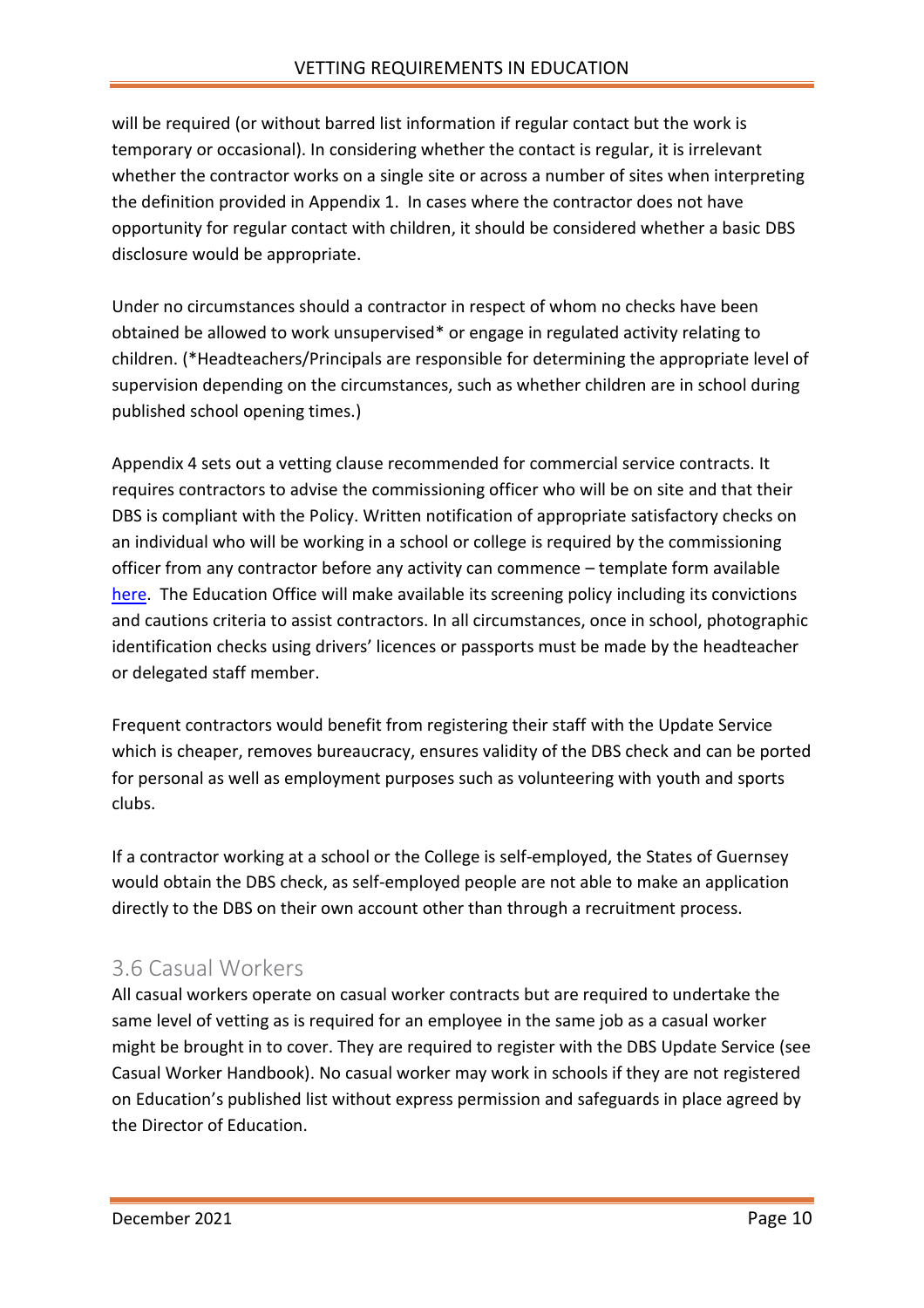will be required (or without barred list information if regular contact but the work is temporary or occasional). In considering whether the contact is regular, it is irrelevant whether the contractor works on a single site or across a number of sites when interpreting the definition provided in Appendix 1. In cases where the contractor does not have opportunity for regular contact with children, it should be considered whether a basic DBS disclosure would be appropriate.

Under no circumstances should a contractor in respect of whom no checks have been obtained be allowed to work unsupervised\* or engage in regulated activity relating to children. (\*Headteachers/Principals are responsible for determining the appropriate level of supervision depending on the circumstances, such as whether children are in school during published school opening times.)

Appendix 4 sets out a vetting clause recommended for commercial service contracts. It requires contractors to advise the commissioning officer who will be on site and that their DBS is compliant with the Policy. Written notification of appropriate satisfactory checks on an individual who will be working in a school or college is required by the commissioning officer from any contractor before any activity can commence – template form available [here.](http://bridge/teamsite/education/SCR/SitePages/Home.aspx) The Education Office will make available its screening policy including its convictions and cautions criteria to assist contractors. In all circumstances, once in school, photographic identification checks using drivers' licences or passports must be made by the headteacher or delegated staff member.

Frequent contractors would benefit from registering their staff with the Update Service which is cheaper, removes bureaucracy, ensures validity of the DBS check and can be ported for personal as well as employment purposes such as volunteering with youth and sports clubs.

If a contractor working at a school or the College is self-employed, the States of Guernsey would obtain the DBS check, as self-employed people are not able to make an application directly to the DBS on their own account other than through a recruitment process.

### <span id="page-9-0"></span>3.6 Casual Workers

All casual workers operate on casual worker contracts but are required to undertake the same level of vetting as is required for an employee in the same job as a casual worker might be brought in to cover. They are required to register with the DBS Update Service (see Casual Worker Handbook). No casual worker may work in schools if they are not registered on Education's published list without express permission and safeguards in place agreed by the Director of Education.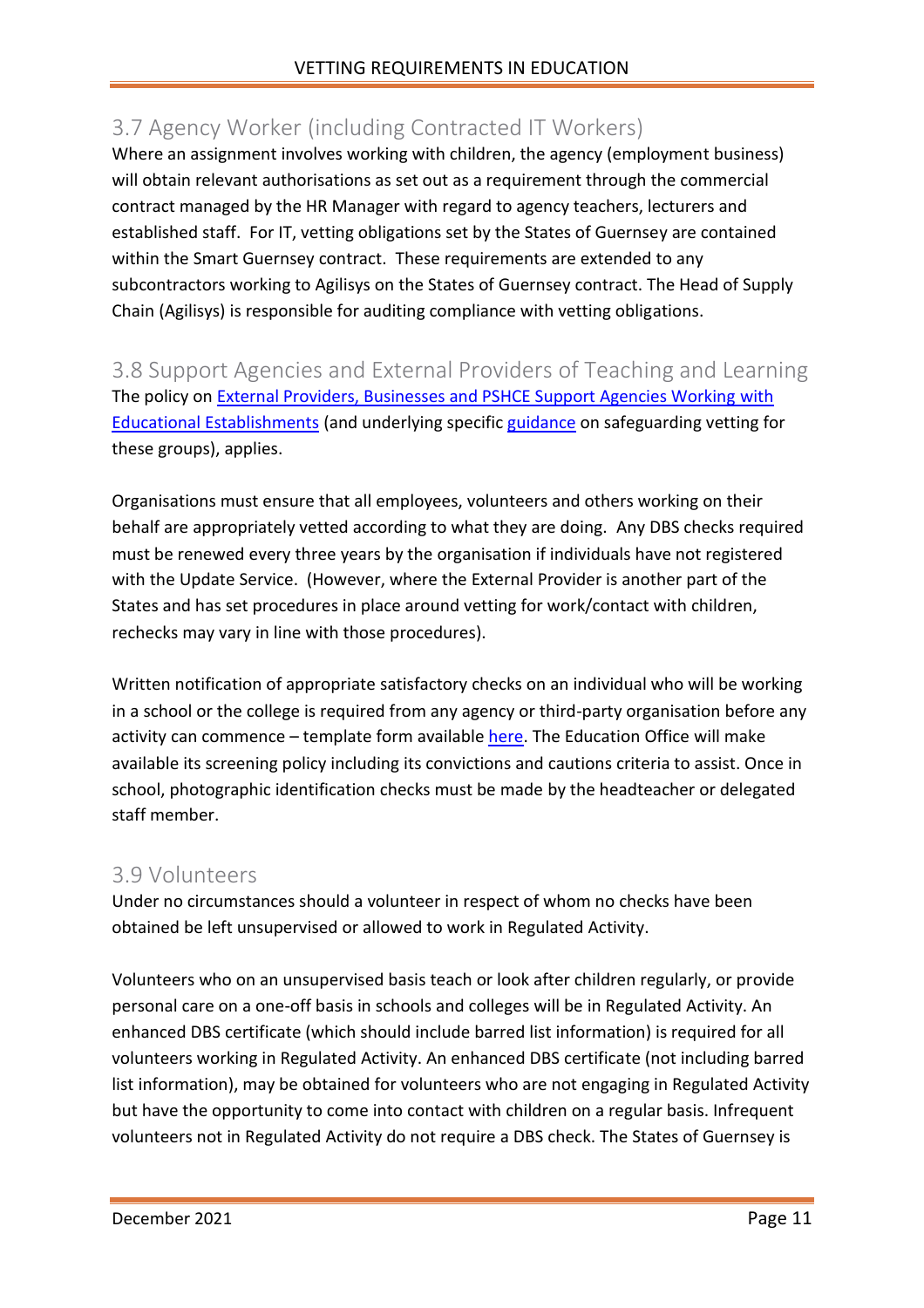### <span id="page-10-0"></span>3.7 Agency Worker (including Contracted IT Workers)

Where an assignment involves working with children, the agency (employment business) will obtain relevant authorisations as set out as a requirement through the commercial contract managed by the HR Manager with regard to agency teachers, lecturers and established staff. For IT, vetting obligations set by the States of Guernsey are contained within the Smart Guernsey contract. These requirements are extended to any subcontractors working to Agilisys on the States of Guernsey contract. The Head of Supply Chain (Agilisys) is responsible for auditing compliance with vetting obligations.

<span id="page-10-1"></span>3.8 Support Agencies and External Providers of Teaching and Learning The policy on [External Providers, Businesses and PSHCE Support Agencies Working](http://bridge/teamsite/education/policies/External%20Providers/Forms/AllItems.aspx) with [Educational Establishments](http://bridge/teamsite/education/policies/External%20Providers/Forms/AllItems.aspx) (and underlying specifi[c guidance](http://bridge/teamsite/education/policies/External%20Providers/Forms/AllItems.aspx) on safeguarding vetting for these groups), applies.

Organisations must ensure that all employees, volunteers and others working on their behalf are appropriately vetted according to what they are doing. Any DBS checks required must be renewed every three years by the organisation if individuals have not registered with the Update Service. (However, where the External Provider is another part of the States and has set procedures in place around vetting for work/contact with children, rechecks may vary in line with those procedures).

Written notification of appropriate satisfactory checks on an individual who will be working in a school or the college is required from any agency or third-party organisation before any activity can commence – template form available [here.](http://bridge/teamsite/education/SCR/SitePages/Home.aspx) The Education Office will make available its screening policy including its convictions and cautions criteria to assist. Once in school, photographic identification checks must be made by the headteacher or delegated staff member.

#### <span id="page-10-2"></span>3.9 Volunteers

Under no circumstances should a volunteer in respect of whom no checks have been obtained be left unsupervised or allowed to work in Regulated Activity.

Volunteers who on an unsupervised basis teach or look after children regularly, or provide personal care on a one-off basis in schools and colleges will be in Regulated Activity. An enhanced DBS certificate (which should include barred list information) is required for all volunteers working in Regulated Activity. An enhanced DBS certificate (not including barred list information), may be obtained for volunteers who are not engaging in Regulated Activity but have the opportunity to come into contact with children on a regular basis. Infrequent volunteers not in Regulated Activity do not require a DBS check. The States of Guernsey is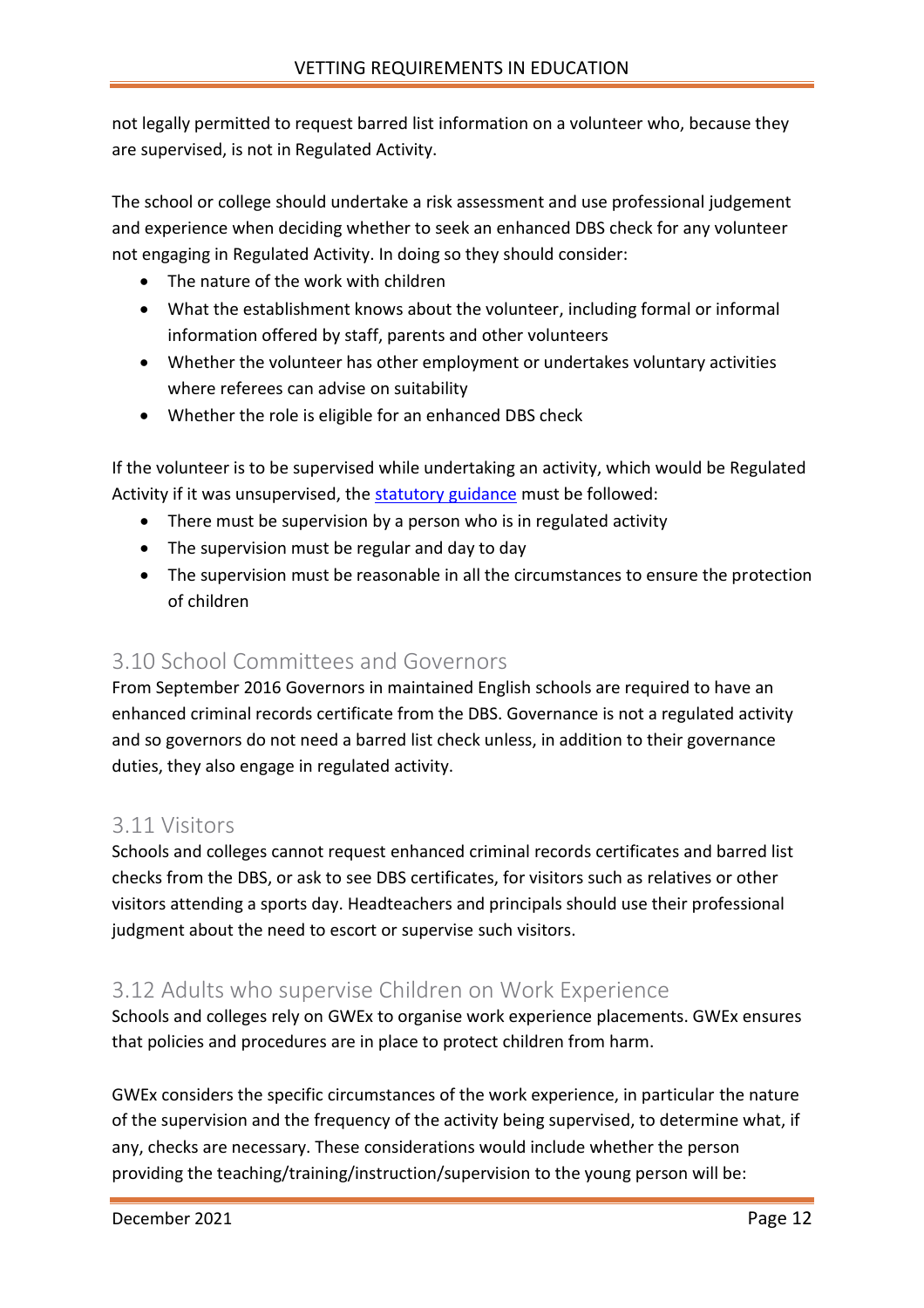not legally permitted to request barred list information on a volunteer who, because they are supervised, is not in Regulated Activity.

The school or college should undertake a risk assessment and use professional judgement and experience when deciding whether to seek an enhanced DBS check for any volunteer not engaging in Regulated Activity. In doing so they should consider:

- The nature of the work with children
- What the establishment knows about the volunteer, including formal or informal information offered by staff, parents and other volunteers
- Whether the volunteer has other employment or undertakes voluntary activities where referees can advise on suitability
- Whether the role is eligible for an enhanced DBS check

If the volunteer is to be supervised while undertaking an activity, which would be Regulated Activity if it was unsupervised, the [statutory guidance](https://www.gov.uk/government/publications/supervision-of-activity-with-children) must be followed:

- There must be supervision by a person who is in regulated activity
- The supervision must be regular and day to day
- The supervision must be reasonable in all the circumstances to ensure the protection of children

#### <span id="page-11-0"></span>3.10 School Committees and Governors

From September 2016 Governors in maintained English schools are required to have an enhanced criminal records certificate from the DBS. Governance is not a regulated activity and so governors do not need a barred list check unless, in addition to their governance duties, they also engage in regulated activity.

#### <span id="page-11-1"></span>3.11 Visitors

Schools and colleges cannot request enhanced criminal records certificates and barred list checks from the DBS, or ask to see DBS certificates, for visitors such as relatives or other visitors attending a sports day. Headteachers and principals should use their professional judgment about the need to escort or supervise such visitors.

#### <span id="page-11-2"></span>3.12 Adults who supervise Children on Work Experience

Schools and colleges rely on GWEx to organise work experience placements. GWEx ensures that policies and procedures are in place to protect children from harm.

GWEx considers the specific circumstances of the work experience, in particular the nature of the supervision and the frequency of the activity being supervised, to determine what, if any, checks are necessary. These considerations would include whether the person providing the teaching/training/instruction/supervision to the young person will be: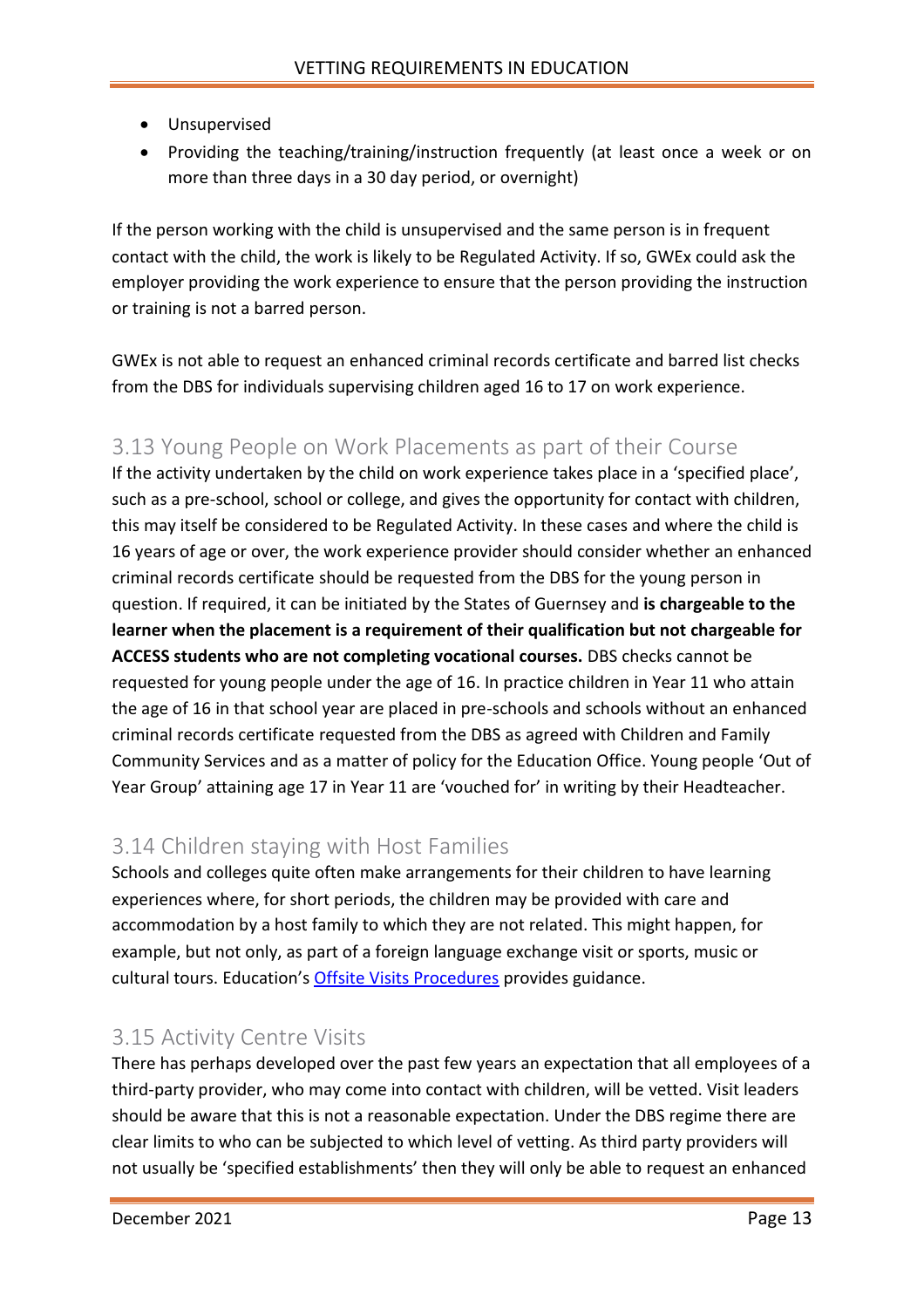- Unsupervised
- Providing the teaching/training/instruction frequently (at least once a week or on more than three days in a 30 day period, or overnight)

If the person working with the child is unsupervised and the same person is in frequent contact with the child, the work is likely to be Regulated Activity. If so, GWEx could ask the employer providing the work experience to ensure that the person providing the instruction or training is not a barred person.

GWEx is not able to request an enhanced criminal records certificate and barred list checks from the DBS for individuals supervising children aged 16 to 17 on work experience.

### <span id="page-12-0"></span>3.13 Young People on Work Placements as part of their Course

If the activity undertaken by the child on work experience takes place in a 'specified place', such as a pre-school, school or college, and gives the opportunity for contact with children, this may itself be considered to be Regulated Activity. In these cases and where the child is 16 years of age or over, the work experience provider should consider whether an enhanced criminal records certificate should be requested from the DBS for the young person in question. If required, it can be initiated by the States of Guernsey and **is chargeable to the learner when the placement is a requirement of their qualification but not chargeable for ACCESS students who are not completing vocational courses.** DBS checks cannot be requested for young people under the age of 16. In practice children in Year 11 who attain the age of 16 in that school year are placed in pre-schools and schools without an enhanced criminal records certificate requested from the DBS as agreed with Children and Family Community Services and as a matter of policy for the Education Office. Young people 'Out of Year Group' attaining age 17 in Year 11 are 'vouched for' in writing by their Headteacher.

### <span id="page-12-1"></span>3.14 Children staying with Host Families

Schools and colleges quite often make arrangements for their children to have learning experiences where, for short periods, the children may be provided with care and accommodation by a host family to which they are not related. This might happen, for example, but not only, as part of a foreign language exchange visit or sports, music or cultural tours. Education's [Offsite Visits Procedures](http://bridge/teamsite/education/policies/Outdoor%20Education/Forms/AllItems.aspx) provides guidance.

#### <span id="page-12-2"></span>3.15 Activity Centre Visits

There has perhaps developed over the past few years an expectation that all employees of a third-party provider, who may come into contact with children, will be vetted. Visit leaders should be aware that this is not a reasonable expectation. Under the DBS regime there are clear limits to who can be subjected to which level of vetting. As third party providers will not usually be 'specified establishments' then they will only be able to request an enhanced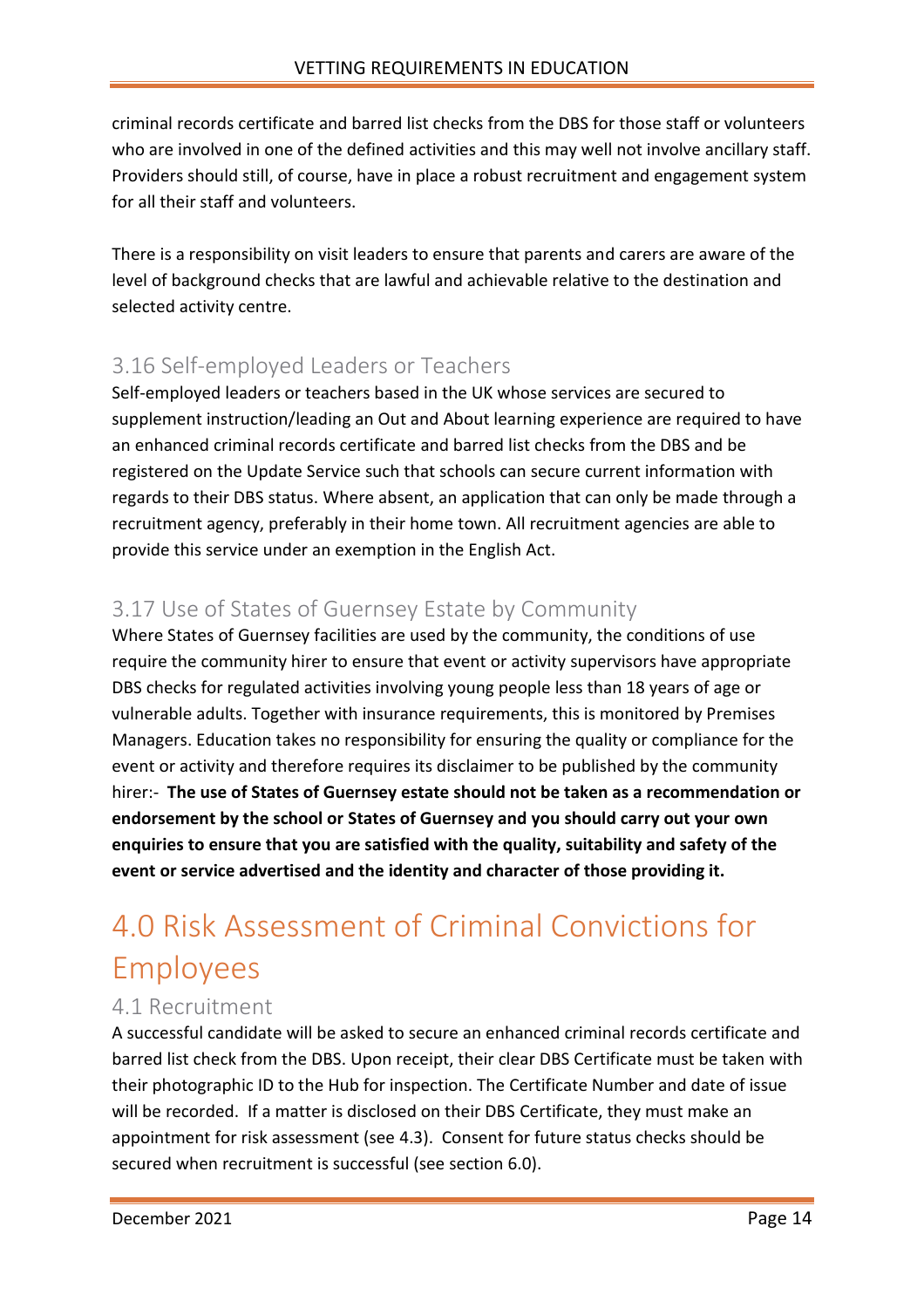criminal records certificate and barred list checks from the DBS for those staff or volunteers who are involved in one of the defined activities and this may well not involve ancillary staff. Providers should still, of course, have in place a robust recruitment and engagement system for all their staff and volunteers.

There is a responsibility on visit leaders to ensure that parents and carers are aware of the level of background checks that are lawful and achievable relative to the destination and selected activity centre.

### <span id="page-13-0"></span>3.16 Self-employed Leaders or Teachers

Self-employed leaders or teachers based in the UK whose services are secured to supplement instruction/leading an Out and About learning experience are required to have an enhanced criminal records certificate and barred list checks from the DBS and be registered on the Update Service such that schools can secure current information with regards to their DBS status. Where absent, an application that can only be made through a recruitment agency, preferably in their home town. All recruitment agencies are able to provide this service under an exemption in the English Act.

### <span id="page-13-1"></span>3.17 Use of States of Guernsey Estate by Community

Where States of Guernsey facilities are used by the community, the conditions of use require the community hirer to ensure that event or activity supervisors have appropriate DBS checks for regulated activities involving young people less than 18 years of age or vulnerable adults. Together with insurance requirements, this is monitored by Premises Managers. Education takes no responsibility for ensuring the quality or compliance for the event or activity and therefore requires its disclaimer to be published by the community hirer:- **The use of States of Guernsey estate should not be taken as a recommendation or endorsement by the school or States of Guernsey and you should carry out your own enquiries to ensure that you are satisfied with the quality, suitability and safety of the event or service advertised and the identity and character of those providing it.**

## <span id="page-13-2"></span>4.0 Risk Assessment of Criminal Convictions for Employees

### <span id="page-13-3"></span>4.1 Recruitment

A successful candidate will be asked to secure an enhanced criminal records certificate and barred list check from the DBS. Upon receipt, their clear DBS Certificate must be taken with their photographic ID to the Hub for inspection. The Certificate Number and date of issue will be recorded. If a matter is disclosed on their DBS Certificate, they must make an appointment for risk assessment (see 4.3). Consent for future status checks should be secured when recruitment is successful (see section 6.0).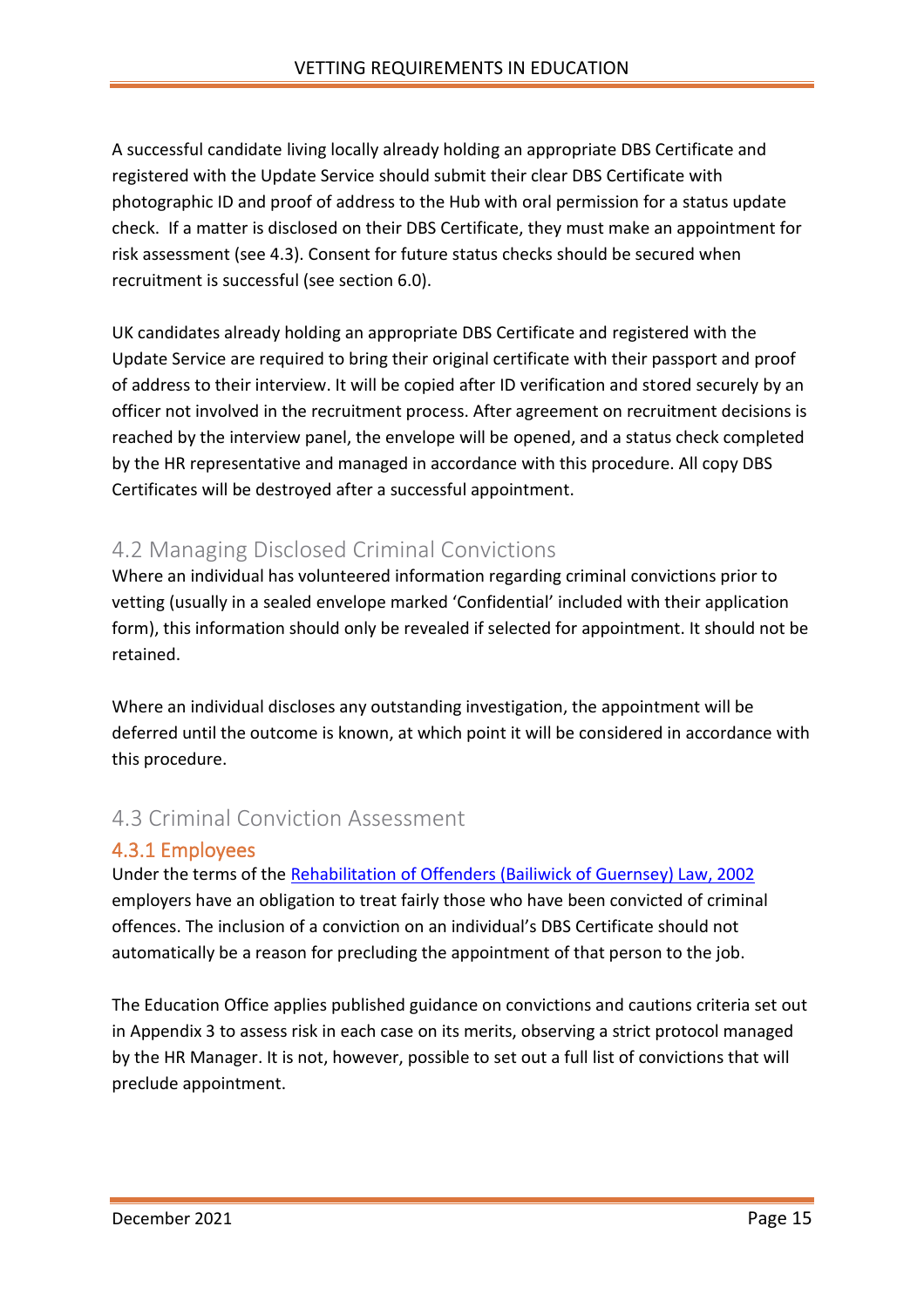A successful candidate living locally already holding an appropriate DBS Certificate and registered with the Update Service should submit their clear DBS Certificate with photographic ID and proof of address to the Hub with oral permission for a status update check. If a matter is disclosed on their DBS Certificate, they must make an appointment for risk assessment (see 4.3). Consent for future status checks should be secured when recruitment is successful (see section 6.0).

UK candidates already holding an appropriate DBS Certificate and registered with the Update Service are required to bring their original certificate with their passport and proof of address to their interview. It will be copied after ID verification and stored securely by an officer not involved in the recruitment process. After agreement on recruitment decisions is reached by the interview panel, the envelope will be opened, and a status check completed by the HR representative and managed in accordance with this procedure. All copy DBS Certificates will be destroyed after a successful appointment.

### <span id="page-14-0"></span>4.2 Managing Disclosed Criminal Convictions

Where an individual has volunteered information regarding criminal convictions prior to vetting (usually in a sealed envelope marked 'Confidential' included with their application form), this information should only be revealed if selected for appointment. It should not be retained.

Where an individual discloses any outstanding investigation, the appointment will be deferred until the outcome is known, at which point it will be considered in accordance with this procedure.

### <span id="page-14-1"></span>4.3 Criminal Conviction Assessment

#### <span id="page-14-2"></span>4.3.1 Employees

Under the terms of the [Rehabilitation of Offenders \(Bailiwick of Guernsey\) Law, 2002](https://www.guernseylegalresources.gg/CHttpHandler.ashx?documentid=56923) employers have an obligation to treat fairly those who have been convicted of criminal offences. The inclusion of a conviction on an individual's DBS Certificate should not automatically be a reason for precluding the appointment of that person to the job.

The Education Office applies published guidance on convictions and cautions criteria set out in Appendix 3 to assess risk in each case on its merits, observing a strict protocol managed by the HR Manager. It is not, however, possible to set out a full list of convictions that will preclude appointment.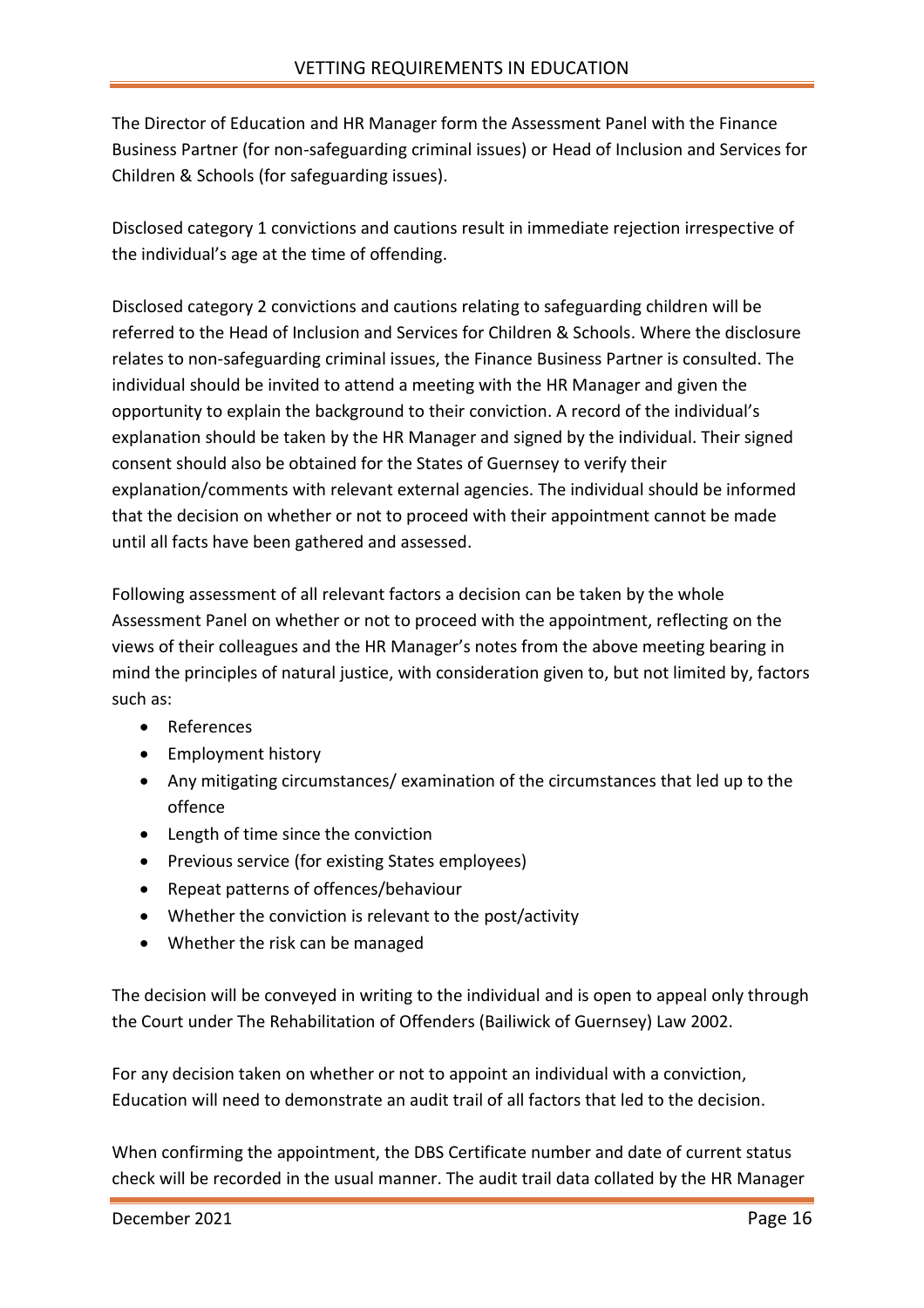The Director of Education and HR Manager form the Assessment Panel with the Finance Business Partner (for non-safeguarding criminal issues) or Head of Inclusion and Services for Children & Schools (for safeguarding issues).

Disclosed category 1 convictions and cautions result in immediate rejection irrespective of the individual's age at the time of offending.

Disclosed category 2 convictions and cautions relating to safeguarding children will be referred to the Head of Inclusion and Services for Children & Schools. Where the disclosure relates to non-safeguarding criminal issues, the Finance Business Partner is consulted. The individual should be invited to attend a meeting with the HR Manager and given the opportunity to explain the background to their conviction. A record of the individual's explanation should be taken by the HR Manager and signed by the individual. Their signed consent should also be obtained for the States of Guernsey to verify their explanation/comments with relevant external agencies. The individual should be informed that the decision on whether or not to proceed with their appointment cannot be made until all facts have been gathered and assessed.

Following assessment of all relevant factors a decision can be taken by the whole Assessment Panel on whether or not to proceed with the appointment, reflecting on the views of their colleagues and the HR Manager's notes from the above meeting bearing in mind the principles of natural justice, with consideration given to, but not limited by, factors such as:

- References
- Employment history
- Any mitigating circumstances/ examination of the circumstances that led up to the offence
- Length of time since the conviction
- Previous service (for existing States employees)
- Repeat patterns of offences/behaviour
- Whether the conviction is relevant to the post/activity
- Whether the risk can be managed

The decision will be conveyed in writing to the individual and is open to appeal only through the Court under The Rehabilitation of Offenders (Bailiwick of Guernsey) Law 2002.

For any decision taken on whether or not to appoint an individual with a conviction, Education will need to demonstrate an audit trail of all factors that led to the decision.

When confirming the appointment, the DBS Certificate number and date of current status check will be recorded in the usual manner. The audit trail data collated by the HR Manager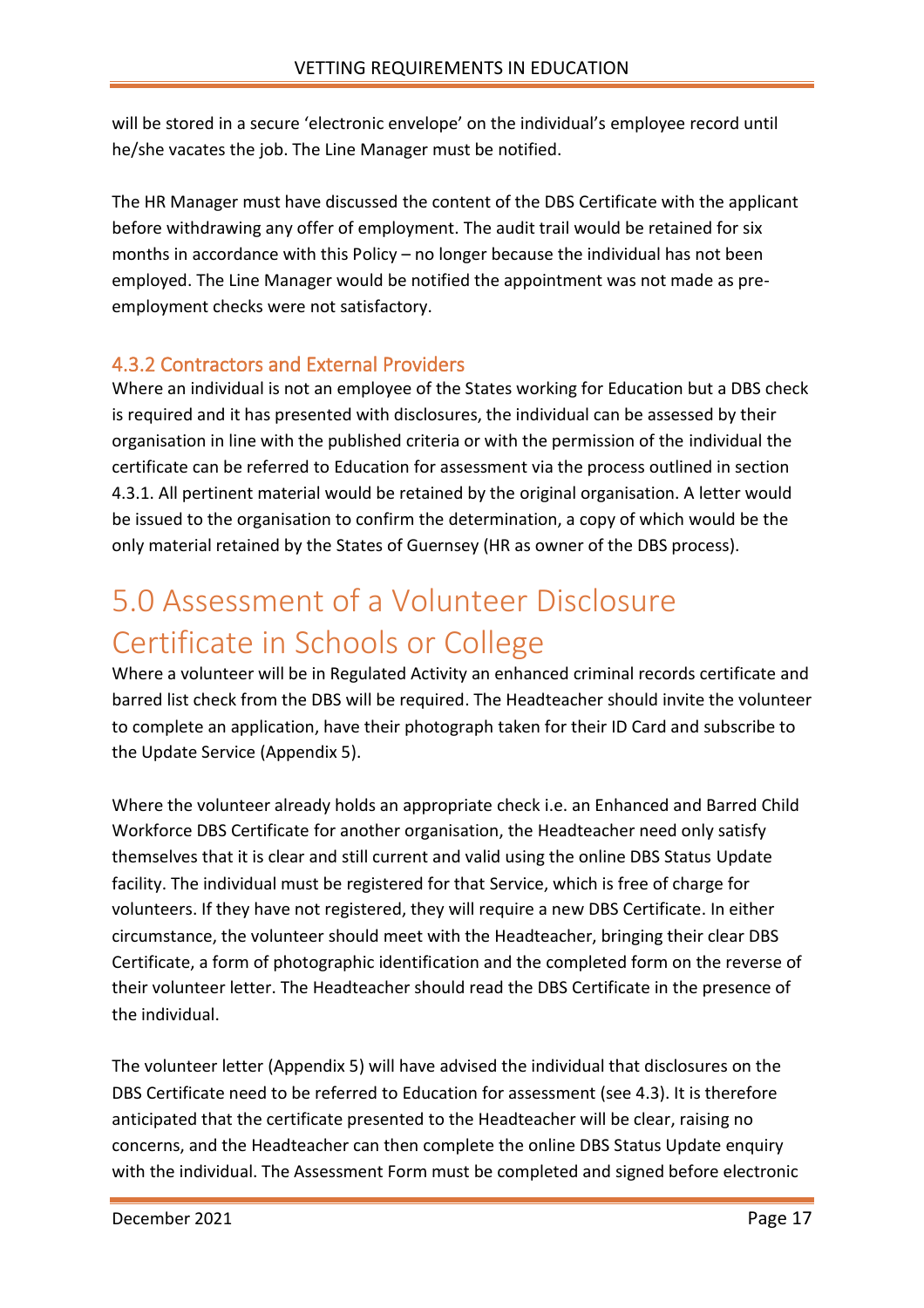will be stored in a secure 'electronic envelope' on the individual's employee record until he/she vacates the job. The Line Manager must be notified.

The HR Manager must have discussed the content of the DBS Certificate with the applicant before withdrawing any offer of employment. The audit trail would be retained for six months in accordance with this Policy – no longer because the individual has not been employed. The Line Manager would be notified the appointment was not made as preemployment checks were not satisfactory.

#### <span id="page-16-0"></span>4.3.2 Contractors and External Providers

Where an individual is not an employee of the States working for Education but a DBS check is required and it has presented with disclosures, the individual can be assessed by their organisation in line with the published criteria or with the permission of the individual the certificate can be referred to Education for assessment via the process outlined in section 4.3.1. All pertinent material would be retained by the original organisation. A letter would be issued to the organisation to confirm the determination, a copy of which would be the only material retained by the States of Guernsey (HR as owner of the DBS process).

## <span id="page-16-1"></span>5.0 Assessment of a Volunteer Disclosure Certificate in Schools or College

Where a volunteer will be in Regulated Activity an enhanced criminal records certificate and barred list check from the DBS will be required. The Headteacher should invite the volunteer to complete an application, have their photograph taken for their ID Card and subscribe to the Update Service (Appendix 5).

Where the volunteer already holds an appropriate check i.e. an Enhanced and Barred Child Workforce DBS Certificate for another organisation, the Headteacher need only satisfy themselves that it is clear and still current and valid using the online DBS Status Update facility. The individual must be registered for that Service, which is free of charge for volunteers. If they have not registered, they will require a new DBS Certificate. In either circumstance, the volunteer should meet with the Headteacher, bringing their clear DBS Certificate, a form of photographic identification and the completed form on the reverse of their volunteer letter. The Headteacher should read the DBS Certificate in the presence of the individual.

The volunteer letter (Appendix 5) will have advised the individual that disclosures on the DBS Certificate need to be referred to Education for assessment (see 4.3). It is therefore anticipated that the certificate presented to the Headteacher will be clear, raising no concerns, and the Headteacher can then complete the online DBS Status Update enquiry with the individual. The Assessment Form must be completed and signed before electronic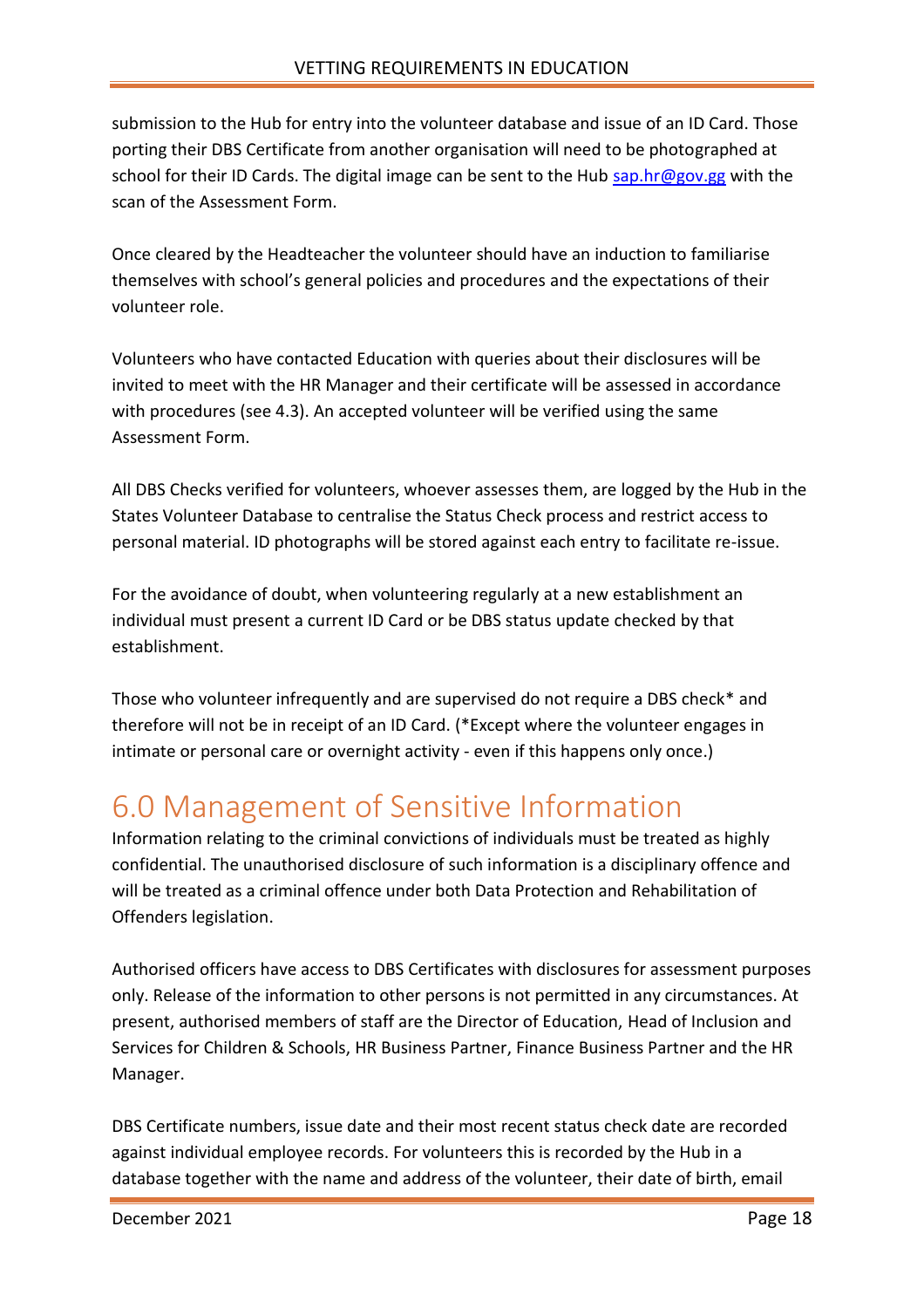submission to the Hub for entry into the volunteer database and issue of an ID Card. Those porting their DBS Certificate from another organisation will need to be photographed at school for their ID Cards. The digital image can be sent to the Hub [sap.hr@gov.gg](mailto:sap.hr@gov.gg) with the scan of the Assessment Form.

Once cleared by the Headteacher the volunteer should have an induction to familiarise themselves with school's general policies and procedures and the expectations of their volunteer role.

Volunteers who have contacted Education with queries about their disclosures will be invited to meet with the HR Manager and their certificate will be assessed in accordance with procedures (see 4.3). An accepted volunteer will be verified using the same Assessment Form.

All DBS Checks verified for volunteers, whoever assesses them, are logged by the Hub in the States Volunteer Database to centralise the Status Check process and restrict access to personal material. ID photographs will be stored against each entry to facilitate re-issue.

For the avoidance of doubt, when volunteering regularly at a new establishment an individual must present a current ID Card or be DBS status update checked by that establishment.

Those who volunteer infrequently and are supervised do not require a DBS check\* and therefore will not be in receipt of an ID Card. (\*Except where the volunteer engages in intimate or personal care or overnight activity - even if this happens only once.)

## <span id="page-17-0"></span>6.0 Management of Sensitive Information

Information relating to the criminal convictions of individuals must be treated as highly confidential. The unauthorised disclosure of such information is a disciplinary offence and will be treated as a criminal offence under both Data Protection and Rehabilitation of Offenders legislation.

Authorised officers have access to DBS Certificates with disclosures for assessment purposes only. Release of the information to other persons is not permitted in any circumstances. At present, authorised members of staff are the Director of Education, Head of Inclusion and Services for Children & Schools, HR Business Partner, Finance Business Partner and the HR Manager.

DBS Certificate numbers, issue date and their most recent status check date are recorded against individual employee records. For volunteers this is recorded by the Hub in a database together with the name and address of the volunteer, their date of birth, email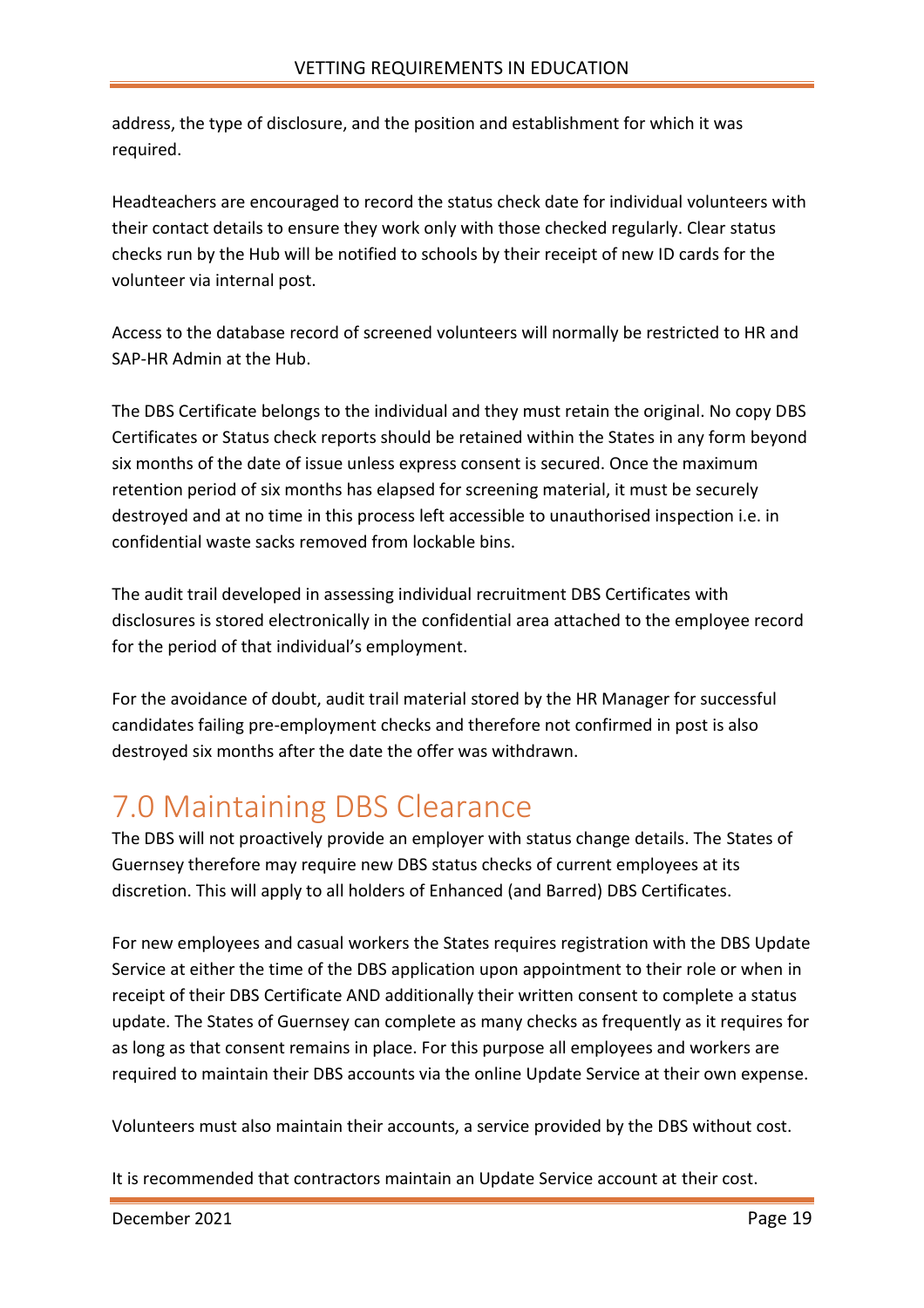address, the type of disclosure, and the position and establishment for which it was required.

Headteachers are encouraged to record the status check date for individual volunteers with their contact details to ensure they work only with those checked regularly. Clear status checks run by the Hub will be notified to schools by their receipt of new ID cards for the volunteer via internal post.

Access to the database record of screened volunteers will normally be restricted to HR and SAP-HR Admin at the Hub.

The DBS Certificate belongs to the individual and they must retain the original. No copy DBS Certificates or Status check reports should be retained within the States in any form beyond six months of the date of issue unless express consent is secured. Once the maximum retention period of six months has elapsed for screening material, it must be securely destroyed and at no time in this process left accessible to unauthorised inspection i.e. in confidential waste sacks removed from lockable bins.

The audit trail developed in assessing individual recruitment DBS Certificates with disclosures is stored electronically in the confidential area attached to the employee record for the period of that individual's employment.

For the avoidance of doubt, audit trail material stored by the HR Manager for successful candidates failing pre-employment checks and therefore not confirmed in post is also destroyed six months after the date the offer was withdrawn.

## <span id="page-18-0"></span>7.0 Maintaining DBS Clearance

The DBS will not proactively provide an employer with status change details. The States of Guernsey therefore may require new DBS status checks of current employees at its discretion. This will apply to all holders of Enhanced (and Barred) DBS Certificates.

For new employees and casual workers the States requires registration with the DBS Update Service at either the time of the DBS application upon appointment to their role or when in receipt of their DBS Certificate AND additionally their written consent to complete a status update. The States of Guernsey can complete as many checks as frequently as it requires for as long as that consent remains in place. For this purpose all employees and workers are required to maintain their DBS accounts via the online Update Service at their own expense.

Volunteers must also maintain their accounts, a service provided by the DBS without cost.

It is recommended that contractors maintain an Update Service account at their cost.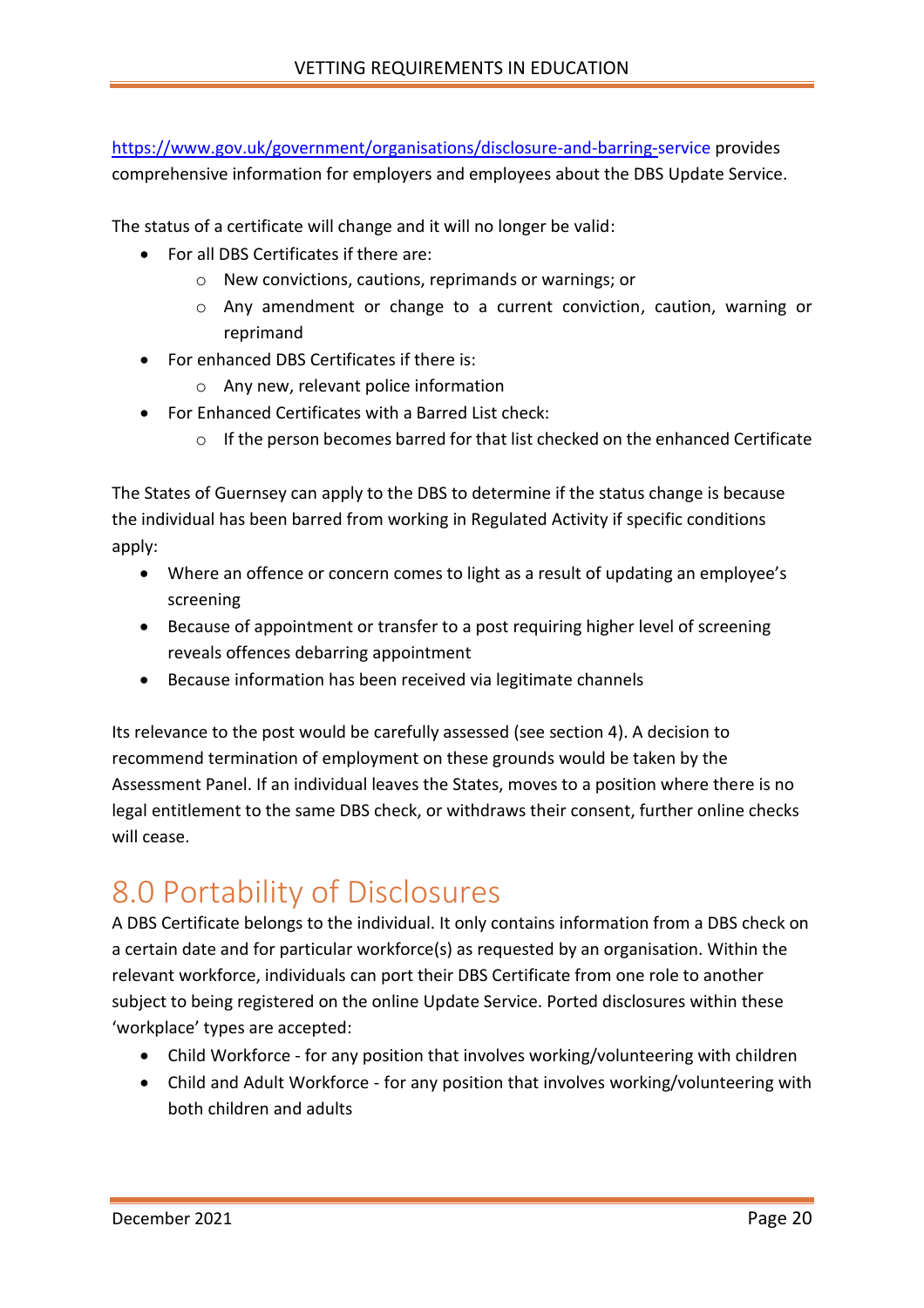<https://www.gov.uk/government/organisations/disclosure-and-barring-service> provides comprehensive information for employers and employees about the DBS Update Service.

The status of a certificate will change and it will no longer be valid:

- For all DBS Certificates if there are:
	- o New convictions, cautions, reprimands or warnings; or
	- o Any amendment or change to a current conviction, caution, warning or reprimand
- For enhanced DBS Certificates if there is:
	- o Any new, relevant police information
- For Enhanced Certificates with a Barred List check:
	- $\circ$  If the person becomes barred for that list checked on the enhanced Certificate

The States of Guernsey can apply to the DBS to determine if the status change is because the individual has been barred from working in Regulated Activity if specific conditions apply:

- Where an offence or concern comes to light as a result of updating an employee's screening
- Because of appointment or transfer to a post requiring higher level of screening reveals offences debarring appointment
- Because information has been received via legitimate channels

Its relevance to the post would be carefully assessed (see section 4). A decision to recommend termination of employment on these grounds would be taken by the Assessment Panel. If an individual leaves the States, moves to a position where there is no legal entitlement to the same DBS check, or withdraws their consent, further online checks will cease.

## <span id="page-19-0"></span>8.0 Portability of Disclosures

A DBS Certificate belongs to the individual. It only contains information from a DBS check on a certain date and for particular workforce(s) as requested by an organisation. Within the relevant workforce, individuals can port their DBS Certificate from one role to another subject to being registered on the online Update Service. Ported disclosures within these 'workplace' types are accepted:

- Child Workforce for any position that involves working/volunteering with children
- Child and Adult Workforce for any position that involves working/volunteering with both children and adults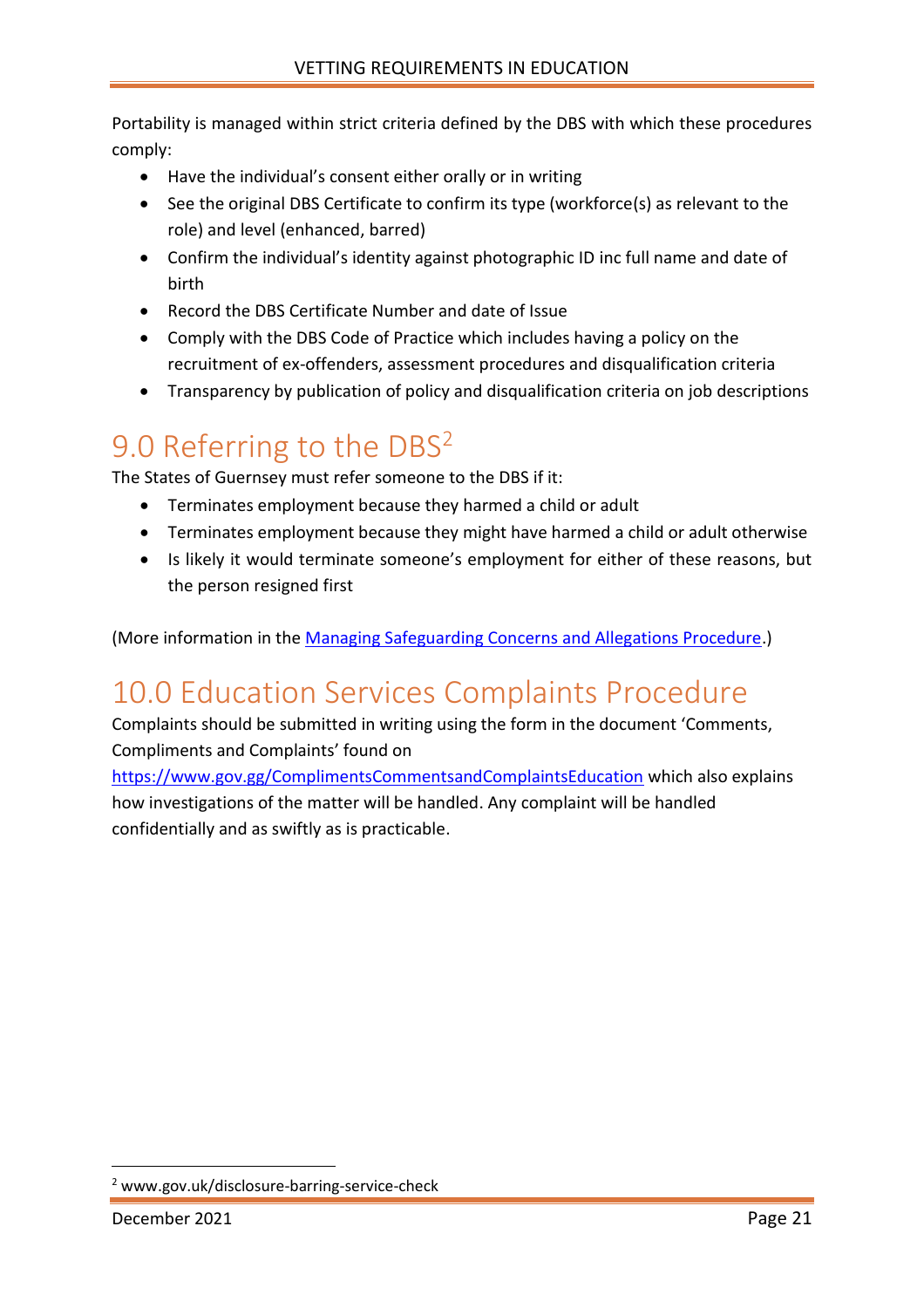Portability is managed within strict criteria defined by the DBS with which these procedures comply:

- Have the individual's consent either orally or in writing
- See the original DBS Certificate to confirm its type (workforce(s) as relevant to the role) and level (enhanced, barred)
- Confirm the individual's identity against photographic ID inc full name and date of birth
- Record the DBS Certificate Number and date of Issue
- Comply with the DBS Code of Practice which includes having a policy on the recruitment of ex-offenders, assessment procedures and disqualification criteria
- Transparency by publication of policy and disqualification criteria on job descriptions

## <span id="page-20-0"></span>9.0 Referring to the DBS<sup>2</sup>

The States of Guernsey must refer someone to the DBS if it:

- Terminates employment because they harmed a child or adult
- Terminates employment because they might have harmed a child or adult otherwise
- Is likely it would terminate someone's employment for either of these reasons, but the person resigned first

(More information in the [Managing Safeguarding Concerns and Allegations Procedure.](http://bridge/teamsite/education/policies/Safeguarding/Forms/AllItems.aspx?RootFolder=%2Fteamsite%2Feducation%2Fpolicies%2FSafeguarding%2FManaging%20Safeguarding%20Concerns%20and%20Allegations%20%28about%20adults%29&FolderCTID=0x0120006ED0238A00489E48B7A844FD637F4507&View=%7bE0E4A593-5F1C-4904-AB69-C45A81D40EFF%7d))

## <span id="page-20-1"></span>10.0 Education Services Complaints Procedure

Complaints should be submitted in writing using the form in the document 'Comments, Compliments and Complaints' found on

<https://www.gov.gg/ComplimentsCommentsandComplaintsEducation> which also explains how investigations of the matter will be handled. Any complaint will be handled confidentially and as swiftly as is practicable.

<sup>2</sup> www.gov.uk/disclosure-barring-service-check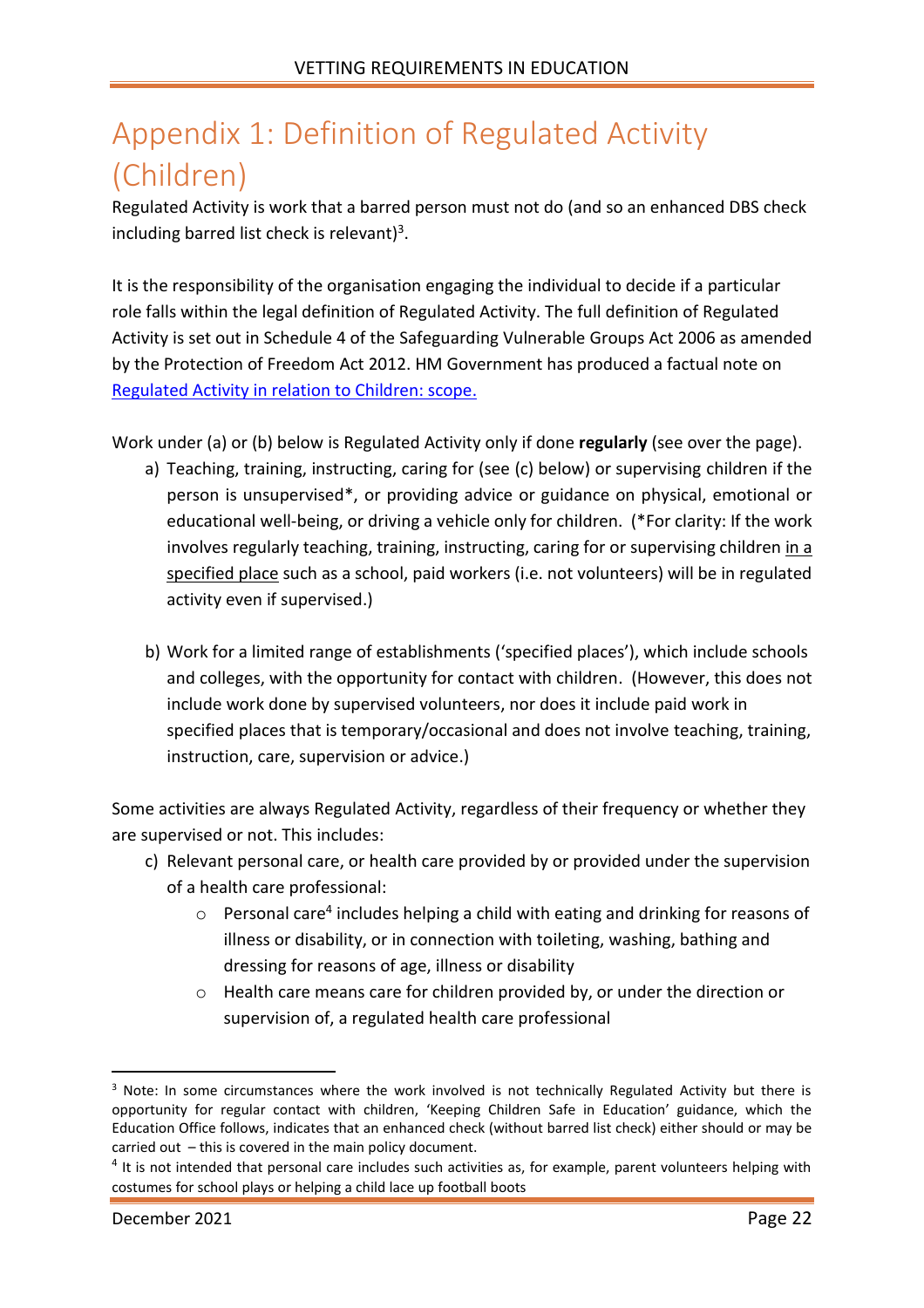## <span id="page-21-0"></span>Appendix 1: Definition of Regulated Activity (Children)

Regulated Activity is work that a barred person must not do (and so an enhanced DBS check including barred list check is relevant)<sup>3</sup>.

It is the responsibility of the organisation engaging the individual to decide if a particular role falls within the legal definition of Regulated Activity. The full definition of Regulated Activity is set out in Schedule 4 of the Safeguarding Vulnerable Groups Act 2006 as amended by the Protection of Freedom Act 2012. HM Government has produced a factual note on [Regulated Activity in relation to Children: scope.](https://assets.publishing.service.gov.uk/government/uploads/system/uploads/attachment_data/file/550197/Regulated_activity_in_relation_to_children.pdf)

Work under (a) or (b) below is Regulated Activity only if done **regularly** (see over the page).

- a) Teaching, training, instructing, caring for (see (c) below) or supervising children if the person is unsupervised\*, or providing advice or guidance on physical, emotional or educational well-being, or driving a vehicle only for children. (\*For clarity: If the work involves regularly teaching, training, instructing, caring for or supervising children in a specified place such as a school, paid workers (i.e. not volunteers) will be in regulated activity even if supervised.)
- b) Work for a limited range of establishments ('specified places'), which include schools and colleges, with the opportunity for contact with children. (However, this does not include work done by supervised volunteers, nor does it include paid work in specified places that is temporary/occasional and does not involve teaching, training, instruction, care, supervision or advice.)

Some activities are always Regulated Activity, regardless of their frequency or whether they are supervised or not. This includes:

- c) Relevant personal care, or health care provided by or provided under the supervision of a health care professional:
	- $\circ$  Personal care<sup>4</sup> includes helping a child with eating and drinking for reasons of illness or disability, or in connection with toileting, washing, bathing and dressing for reasons of age, illness or disability
	- o Health care means care for children provided by, or under the direction or supervision of, a regulated health care professional

<sup>&</sup>lt;sup>3</sup> Note: In some circumstances where the work involved is not technically Regulated Activity but there is opportunity for regular contact with children, 'Keeping Children Safe in Education' guidance, which the Education Office follows, indicates that an enhanced check (without barred list check) either should or may be carried out – this is covered in the main policy document.

 $<sup>4</sup>$  It is not intended that personal care includes such activities as, for example, parent volunteers helping with</sup> costumes for school plays or helping a child lace up football boots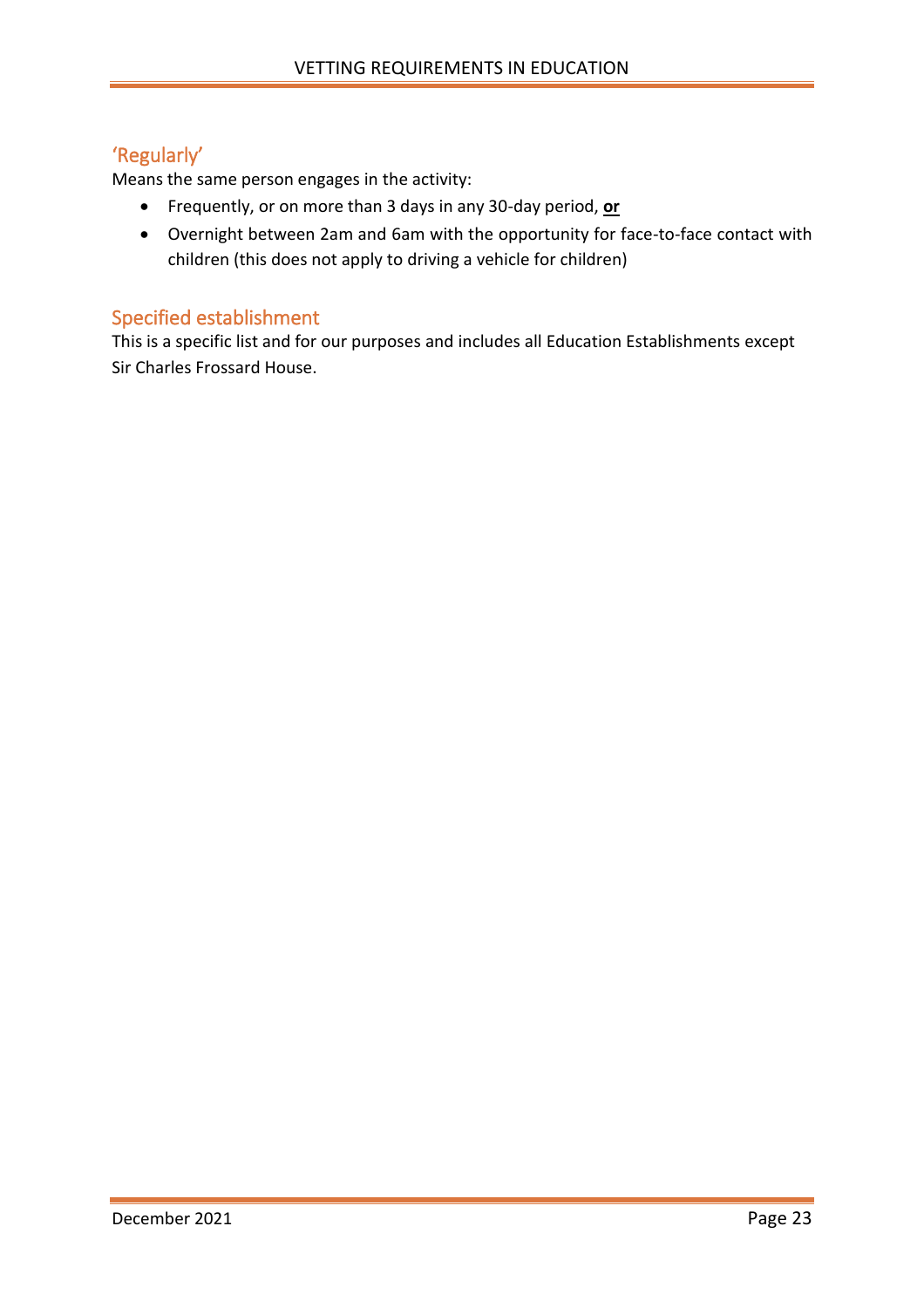#### <span id="page-22-0"></span>'Regularly'

Means the same person engages in the activity:

- Frequently, or on more than 3 days in any 30-day period, **or**
- Overnight between 2am and 6am with the opportunity for face-to-face contact with children (this does not apply to driving a vehicle for children)

#### <span id="page-22-1"></span>Specified establishment

This is a specific list and for our purposes and includes all Education Establishments except Sir Charles Frossard House.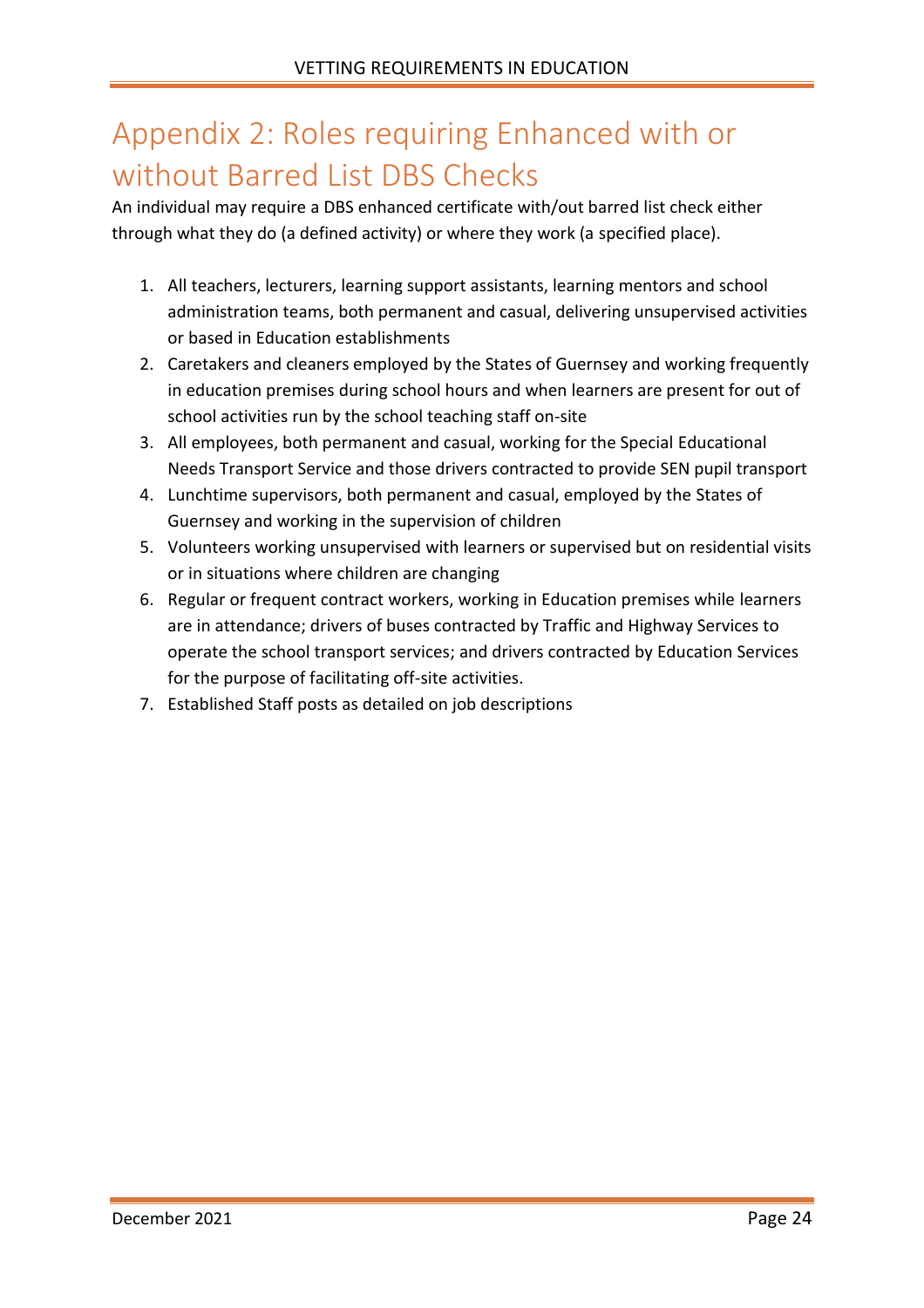## <span id="page-23-0"></span>Appendix 2: Roles requiring Enhanced with or without Barred List DBS Checks

An individual may require a DBS enhanced certificate with/out barred list check either through what they do (a defined activity) or where they work (a specified place).

- 1. All teachers, lecturers, learning support assistants, learning mentors and school administration teams, both permanent and casual, delivering unsupervised activities or based in Education establishments
- 2. Caretakers and cleaners employed by the States of Guernsey and working frequently in education premises during school hours and when learners are present for out of school activities run by the school teaching staff on-site
- 3. All employees, both permanent and casual, working for the Special Educational Needs Transport Service and those drivers contracted to provide SEN pupil transport
- 4. Lunchtime supervisors, both permanent and casual, employed by the States of Guernsey and working in the supervision of children
- 5. Volunteers working unsupervised with learners or supervised but on residential visits or in situations where children are changing
- 6. Regular or frequent contract workers, working in Education premises while learners are in attendance; drivers of buses contracted by Traffic and Highway Services to operate the school transport services; and drivers contracted by Education Services for the purpose of facilitating off-site activities.
- 7. Established Staff posts as detailed on job descriptions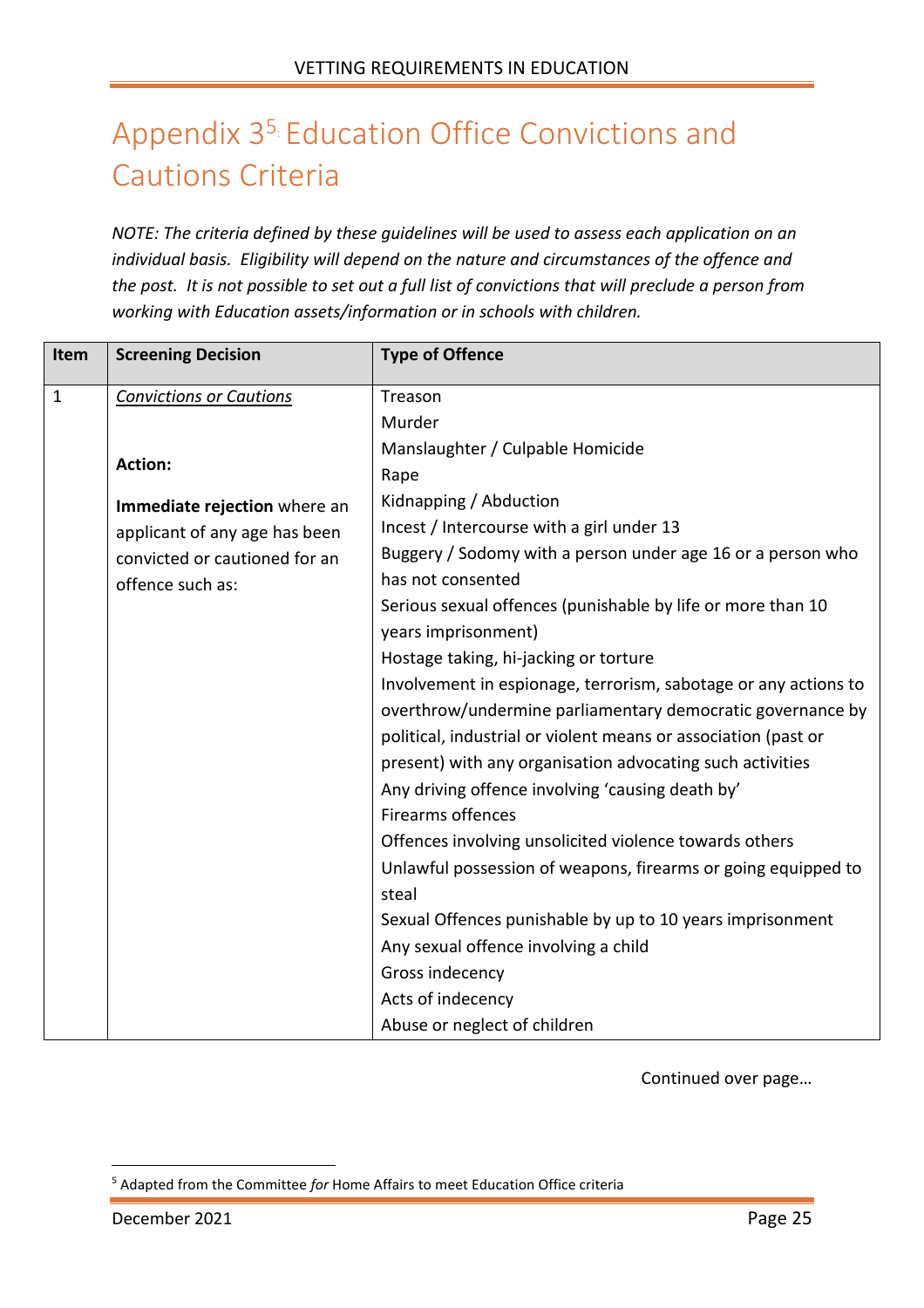## <span id="page-24-0"></span>Appendix 3<sup>5</sup> Education Office Convictions and Cautions Criteria

*NOTE: The criteria defined by these guidelines will be used to assess each application on an individual basis. Eligibility will depend on the nature and circumstances of the offence and the post. It is not possible to set out a full list of convictions that will preclude a person from working with Education assets/information or in schools with children.* 

| Item         | <b>Screening Decision</b>      | <b>Type of Offence</b>                                          |
|--------------|--------------------------------|-----------------------------------------------------------------|
| $\mathbf{1}$ | <b>Convictions or Cautions</b> | Treason                                                         |
|              |                                | Murder                                                          |
|              |                                | Manslaughter / Culpable Homicide                                |
|              | <b>Action:</b>                 | Rape                                                            |
|              | Immediate rejection where an   | Kidnapping / Abduction                                          |
|              | applicant of any age has been  | Incest / Intercourse with a girl under 13                       |
|              | convicted or cautioned for an  | Buggery / Sodomy with a person under age 16 or a person who     |
|              | offence such as:               | has not consented                                               |
|              |                                | Serious sexual offences (punishable by life or more than 10     |
|              |                                | years imprisonment)                                             |
|              |                                | Hostage taking, hi-jacking or torture                           |
|              |                                | Involvement in espionage, terrorism, sabotage or any actions to |
|              |                                | overthrow/undermine parliamentary democratic governance by      |
|              |                                | political, industrial or violent means or association (past or  |
|              |                                | present) with any organisation advocating such activities       |
|              |                                | Any driving offence involving 'causing death by'                |
|              |                                | <b>Firearms offences</b>                                        |
|              |                                | Offences involving unsolicited violence towards others          |
|              |                                | Unlawful possession of weapons, firearms or going equipped to   |
|              |                                | steal                                                           |
|              |                                | Sexual Offences punishable by up to 10 years imprisonment       |
|              |                                | Any sexual offence involving a child                            |
|              |                                | Gross indecency                                                 |
|              |                                | Acts of indecency                                               |
|              |                                | Abuse or neglect of children                                    |

Continued over page…

<sup>5</sup> Adapted from the Committee *for* Home Affairs to meet Education Office criteria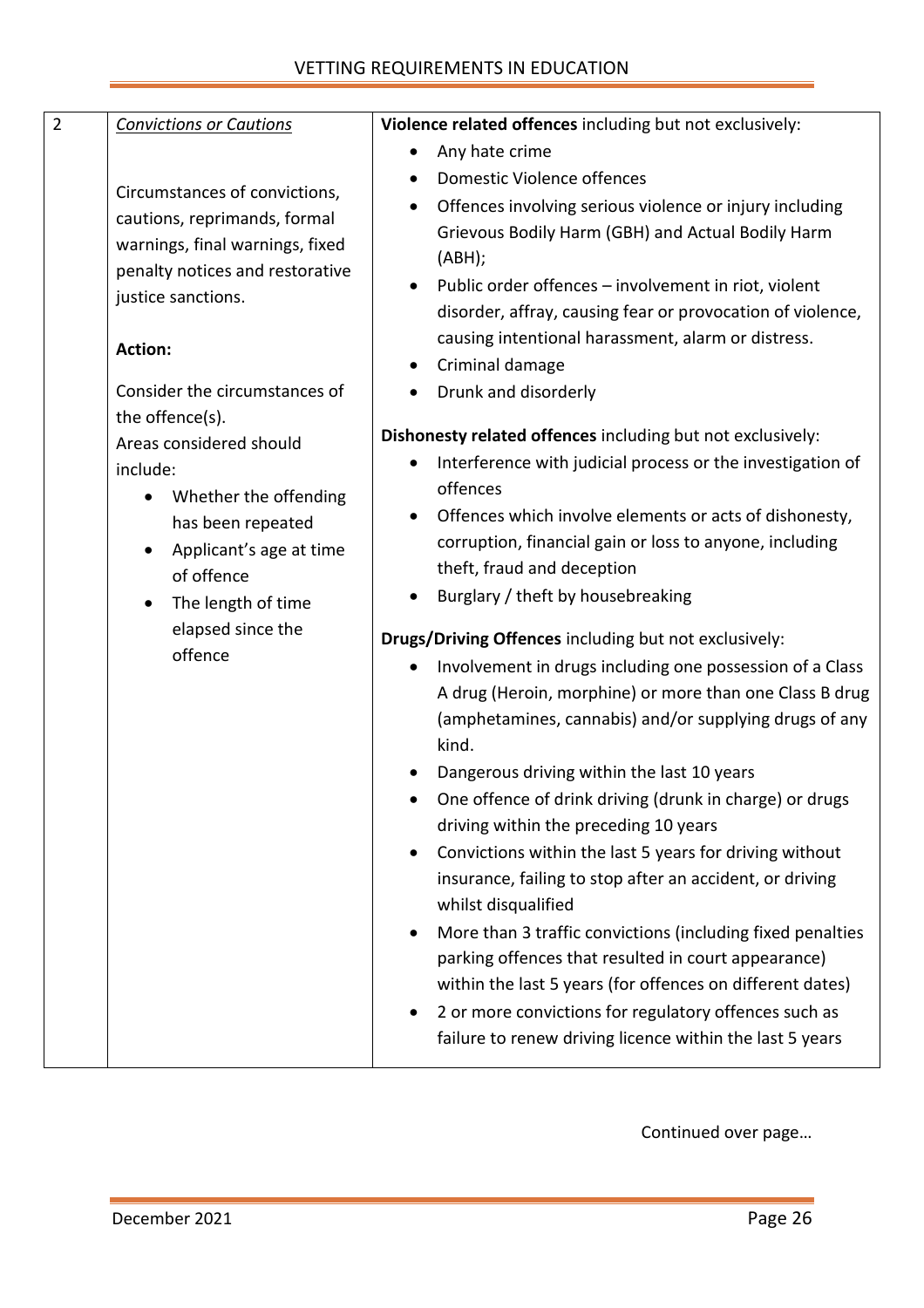#### VETTING REQUIREMENTS IN EDUCATION

| $\overline{2}$ | <b>Convictions or Cautions</b>                                                                                                                                                                                                                                                                                                                                                                                                   | Violence related offences including but not exclusively:                                                                                                                                                                                                                                                                                                                                                                                                                                                                                                                                                                                                                                                                                                                                                                                                                                                                                                                                                                                                                                                                                                                                                                                                                                                                                                                                                                                                                                                                                                                                          |
|----------------|----------------------------------------------------------------------------------------------------------------------------------------------------------------------------------------------------------------------------------------------------------------------------------------------------------------------------------------------------------------------------------------------------------------------------------|---------------------------------------------------------------------------------------------------------------------------------------------------------------------------------------------------------------------------------------------------------------------------------------------------------------------------------------------------------------------------------------------------------------------------------------------------------------------------------------------------------------------------------------------------------------------------------------------------------------------------------------------------------------------------------------------------------------------------------------------------------------------------------------------------------------------------------------------------------------------------------------------------------------------------------------------------------------------------------------------------------------------------------------------------------------------------------------------------------------------------------------------------------------------------------------------------------------------------------------------------------------------------------------------------------------------------------------------------------------------------------------------------------------------------------------------------------------------------------------------------------------------------------------------------------------------------------------------------|
|                | Circumstances of convictions,<br>cautions, reprimands, formal<br>warnings, final warnings, fixed<br>penalty notices and restorative<br>justice sanctions.<br><b>Action:</b><br>Consider the circumstances of<br>the offence(s).<br>Areas considered should<br>include:<br>Whether the offending<br>$\bullet$<br>has been repeated<br>Applicant's age at time<br>of offence<br>The length of time<br>elapsed since the<br>offence | Any hate crime<br>$\bullet$<br>Domestic Violence offences<br>Offences involving serious violence or injury including<br>Grievous Bodily Harm (GBH) and Actual Bodily Harm<br>(ABH);<br>Public order offences - involvement in riot, violent<br>$\bullet$<br>disorder, affray, causing fear or provocation of violence,<br>causing intentional harassment, alarm or distress.<br>Criminal damage<br>$\bullet$<br>Drunk and disorderly<br>Dishonesty related offences including but not exclusively:<br>Interference with judicial process or the investigation of<br>offences<br>Offences which involve elements or acts of dishonesty,<br>$\bullet$<br>corruption, financial gain or loss to anyone, including<br>theft, fraud and deception<br>Burglary / theft by housebreaking<br>٠<br>Drugs/Driving Offences including but not exclusively:<br>Involvement in drugs including one possession of a Class<br>A drug (Heroin, morphine) or more than one Class B drug<br>(amphetamines, cannabis) and/or supplying drugs of any<br>kind.<br>Dangerous driving within the last 10 years<br>One offence of drink driving (drunk in charge) or drugs<br>driving within the preceding 10 years<br>Convictions within the last 5 years for driving without<br>$\bullet$<br>insurance, failing to stop after an accident, or driving<br>whilst disqualified<br>More than 3 traffic convictions (including fixed penalties<br>parking offences that resulted in court appearance)<br>within the last 5 years (for offences on different dates)<br>2 or more convictions for regulatory offences such as |
|                |                                                                                                                                                                                                                                                                                                                                                                                                                                  | failure to renew driving licence within the last 5 years                                                                                                                                                                                                                                                                                                                                                                                                                                                                                                                                                                                                                                                                                                                                                                                                                                                                                                                                                                                                                                                                                                                                                                                                                                                                                                                                                                                                                                                                                                                                          |

Continued over page…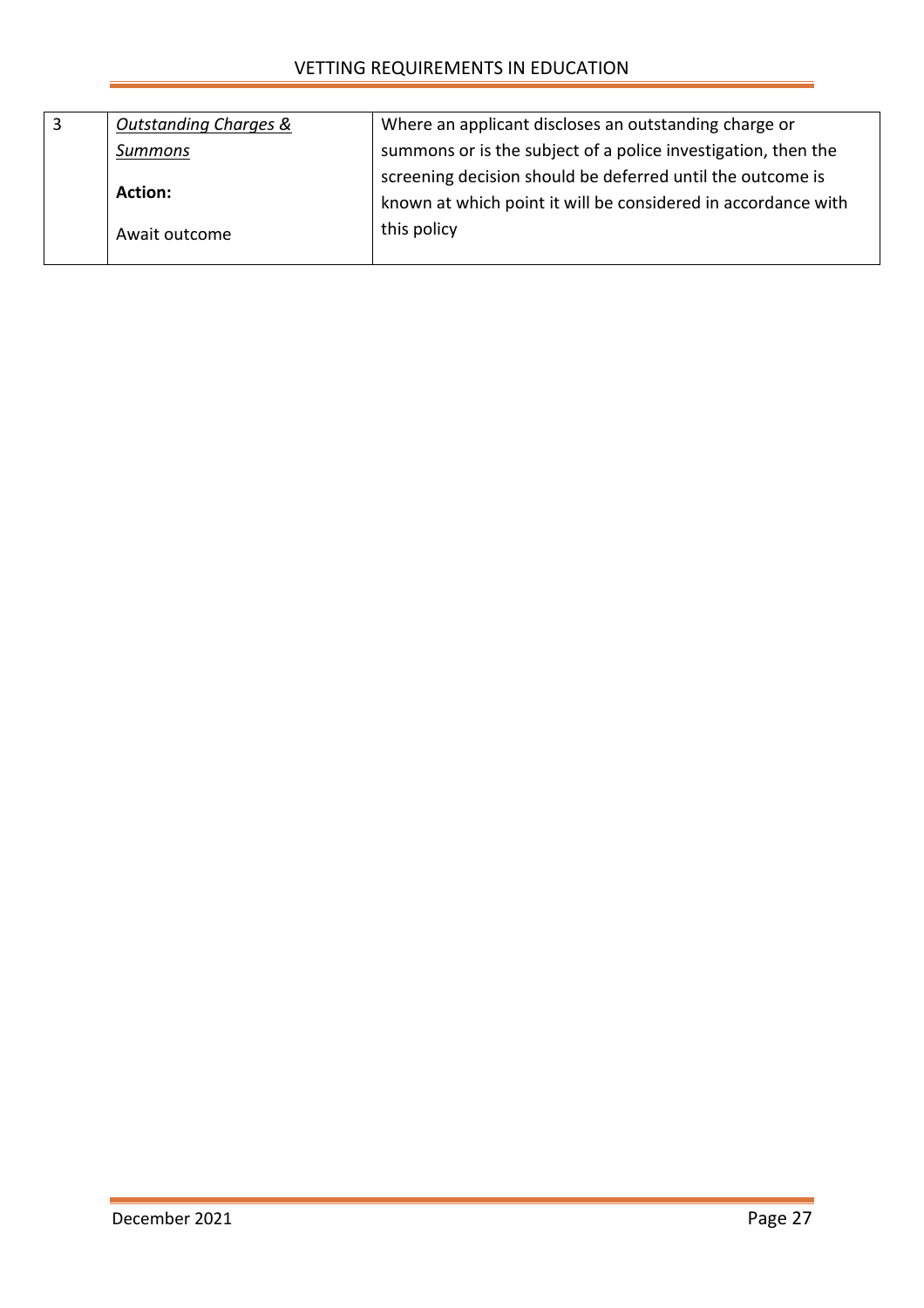| 3              | <b>Outstanding Charges &amp;</b>                              | Where an applicant discloses an outstanding charge or         |
|----------------|---------------------------------------------------------------|---------------------------------------------------------------|
|                | Summons                                                       | summons or is the subject of a police investigation, then the |
|                |                                                               | screening decision should be deferred until the outcome is    |
| <b>Action:</b> | known at which point it will be considered in accordance with |                                                               |
|                | Await outcome                                                 | this policy                                                   |
|                |                                                               |                                                               |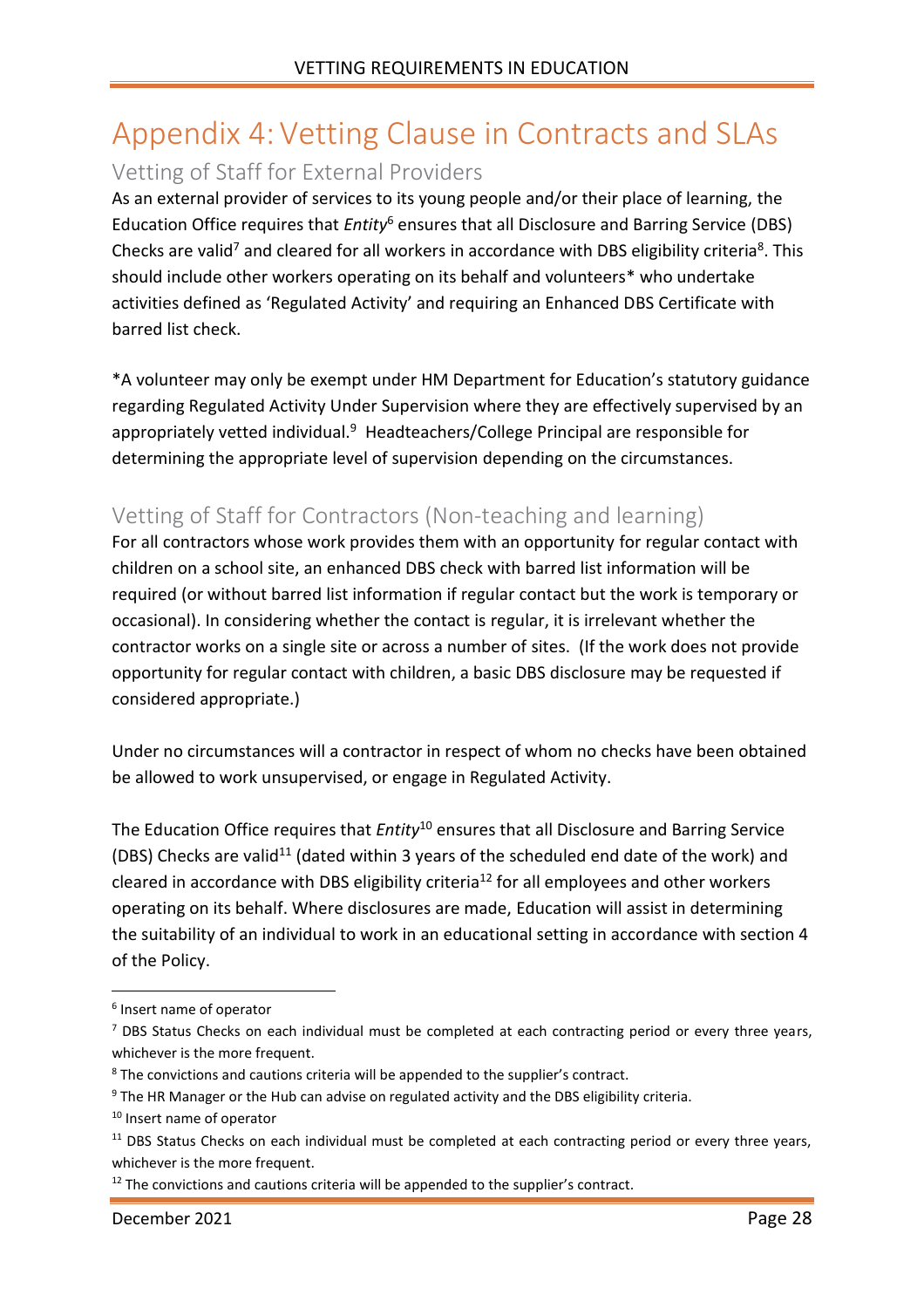## <span id="page-27-0"></span>Appendix 4:Vetting Clause in Contracts and SLAs

### <span id="page-27-1"></span>Vetting of Staff for External Providers

As an external provider of services to its young people and/or their place of learning, the Education Office requires that *Entity*<sup>6</sup> ensures that all Disclosure and Barring Service (DBS) Checks are valid<sup>7</sup> and cleared for all workers in accordance with DBS eligibility criteria<sup>8</sup>. This should include other workers operating on its behalf and volunteers\* who undertake activities defined as 'Regulated Activity' and requiring an Enhanced DBS Certificate with barred list check.

\*A volunteer may only be exempt under HM Department for Education's statutory guidance regarding Regulated Activity Under Supervision where they are effectively supervised by an appropriately vetted individual.<sup>9</sup> Headteachers/College Principal are responsible for determining the appropriate level of supervision depending on the circumstances.

### <span id="page-27-2"></span>Vetting of Staff for Contractors (Non-teaching and learning)

For all contractors whose work provides them with an opportunity for regular contact with children on a school site, an enhanced DBS check with barred list information will be required (or without barred list information if regular contact but the work is temporary or occasional). In considering whether the contact is regular, it is irrelevant whether the contractor works on a single site or across a number of sites. (If the work does not provide opportunity for regular contact with children, a basic DBS disclosure may be requested if considered appropriate.)

Under no circumstances will a contractor in respect of whom no checks have been obtained be allowed to work unsupervised, or engage in Regulated Activity.

The Education Office requires that *Entity*<sup>10</sup> ensures that all Disclosure and Barring Service (DBS) Checks are valid<sup>11</sup> (dated within 3 years of the scheduled end date of the work) and cleared in accordance with DBS eligibility criteria<sup>12</sup> for all employees and other workers operating on its behalf. Where disclosures are made, Education will assist in determining the suitability of an individual to work in an educational setting in accordance with section 4 of the Policy.

<sup>6</sup> Insert name of operator

 $<sup>7</sup>$  DBS Status Checks on each individual must be completed at each contracting period or every three years,</sup> whichever is the more frequent.

<sup>8</sup> The convictions and cautions criteria will be appended to the supplier's contract.

<sup>&</sup>lt;sup>9</sup> The HR Manager or the Hub can advise on regulated activity and the DBS eligibility criteria.

<sup>10</sup> Insert name of operator

<sup>&</sup>lt;sup>11</sup> DBS Status Checks on each individual must be completed at each contracting period or every three years, whichever is the more frequent.

 $12$  The convictions and cautions criteria will be appended to the supplier's contract.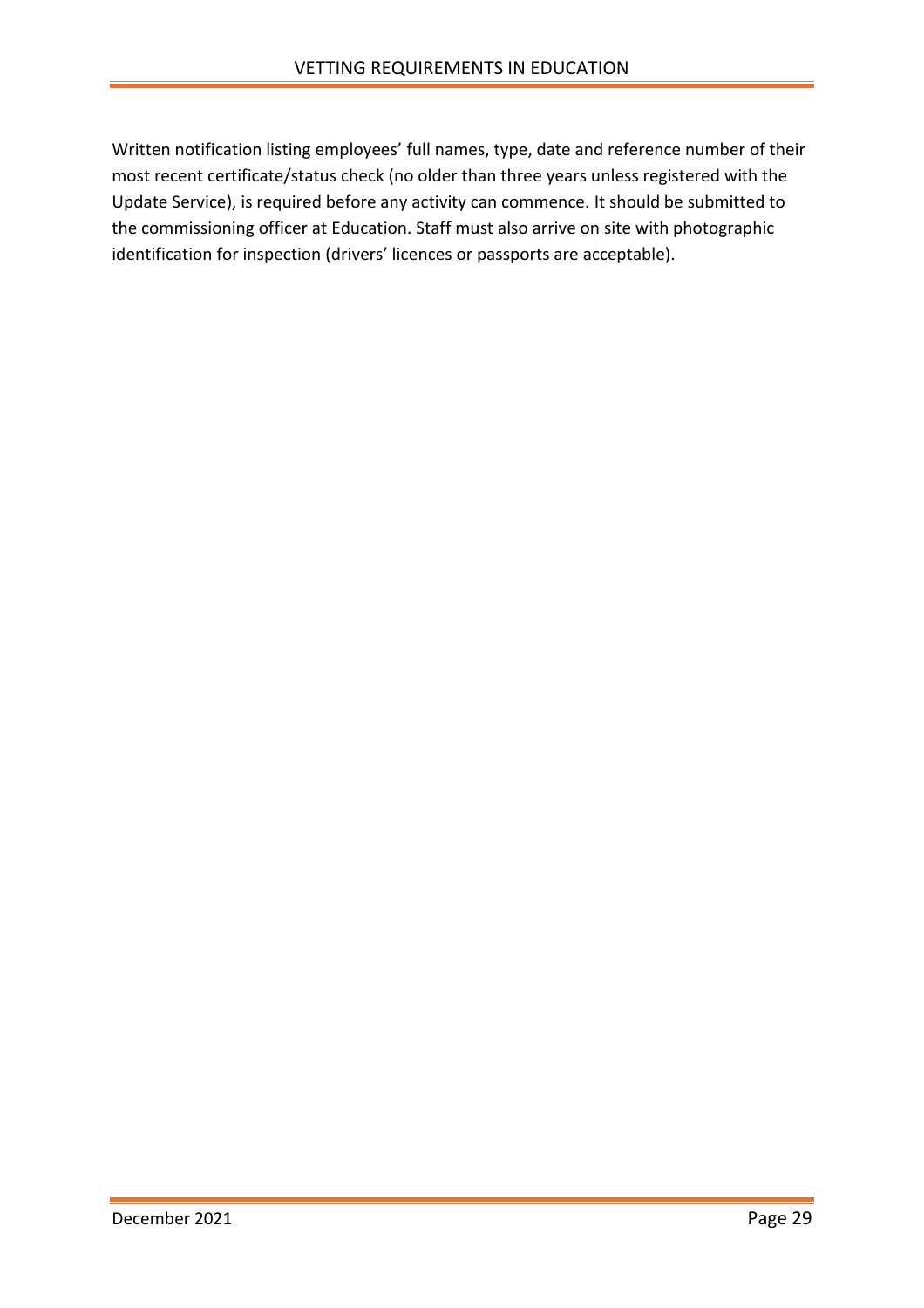Written notification listing employees' full names, type, date and reference number of their most recent certificate/status check (no older than three years unless registered with the Update Service), is required before any activity can commence. It should be submitted to the commissioning officer at Education. Staff must also arrive on site with photographic identification for inspection (drivers' licences or passports are acceptable).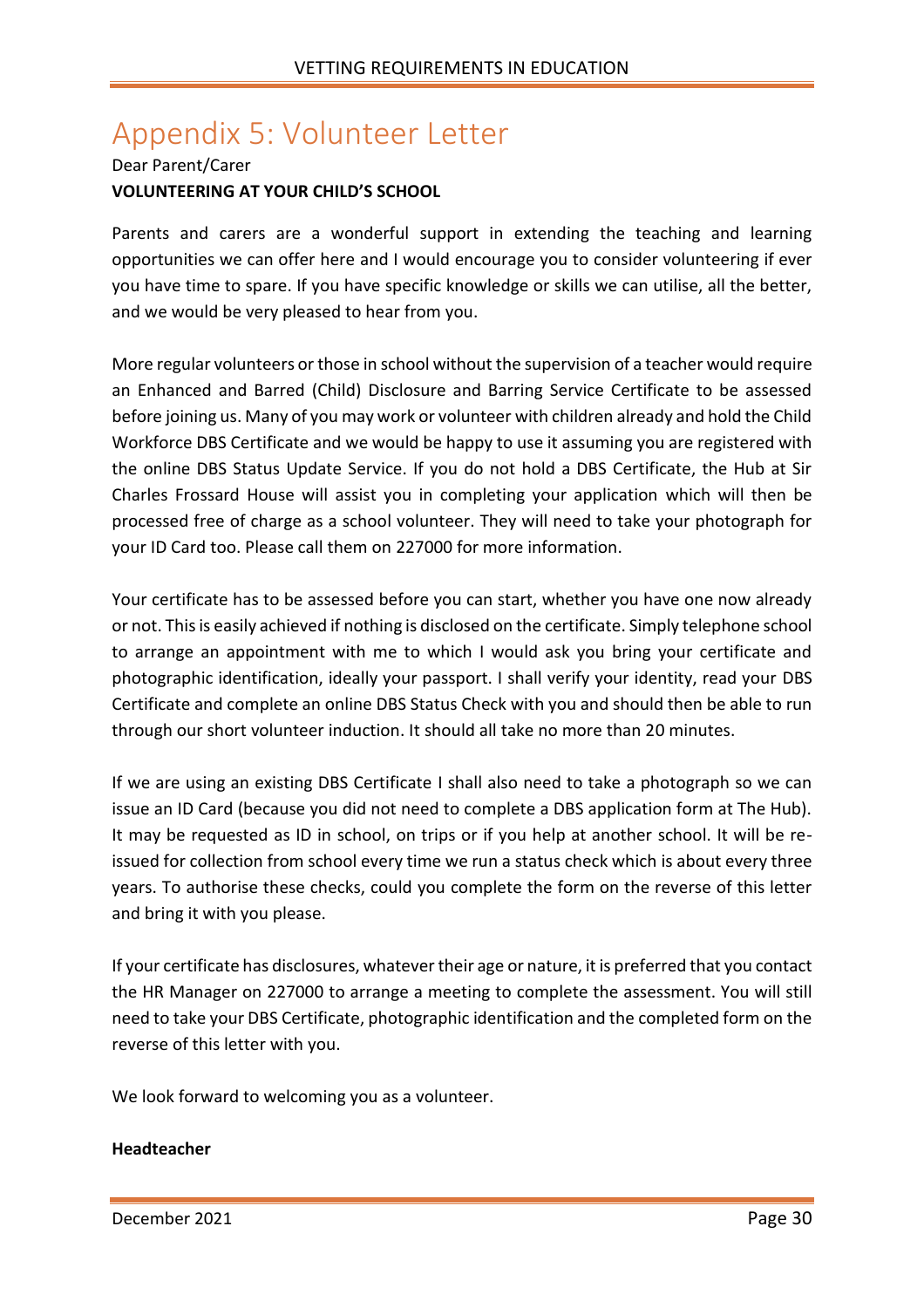## <span id="page-29-0"></span>Appendix 5: Volunteer Letter

#### Dear Parent/Carer **VOLUNTEERING AT YOUR CHILD'S SCHOOL**

Parents and carers are a wonderful support in extending the teaching and learning opportunities we can offer here and I would encourage you to consider volunteering if ever you have time to spare. If you have specific knowledge or skills we can utilise, all the better, and we would be very pleased to hear from you.

More regular volunteers or those in school without the supervision of a teacher would require an Enhanced and Barred (Child) Disclosure and Barring Service Certificate to be assessed before joining us. Many of you may work or volunteer with children already and hold the Child Workforce DBS Certificate and we would be happy to use it assuming you are registered with the online DBS Status Update Service. If you do not hold a DBS Certificate, the Hub at Sir Charles Frossard House will assist you in completing your application which will then be processed free of charge as a school volunteer. They will need to take your photograph for your ID Card too. Please call them on 227000 for more information.

Your certificate has to be assessed before you can start, whether you have one now already or not. This is easily achieved if nothing is disclosed on the certificate. Simply telephone school to arrange an appointment with me to which I would ask you bring your certificate and photographic identification, ideally your passport. I shall verify your identity, read your DBS Certificate and complete an online DBS Status Check with you and should then be able to run through our short volunteer induction. It should all take no more than 20 minutes.

If we are using an existing DBS Certificate I shall also need to take a photograph so we can issue an ID Card (because you did not need to complete a DBS application form at The Hub). It may be requested as ID in school, on trips or if you help at another school. It will be reissued for collection from school every time we run a status check which is about every three years. To authorise these checks, could you complete the form on the reverse of this letter and bring it with you please.

If your certificate has disclosures, whatever their age or nature, it is preferred that you contact the HR Manager on 227000 to arrange a meeting to complete the assessment. You will still need to take your DBS Certificate, photographic identification and the completed form on the reverse of this letter with you.

We look forward to welcoming you as a volunteer.

#### **Headteacher**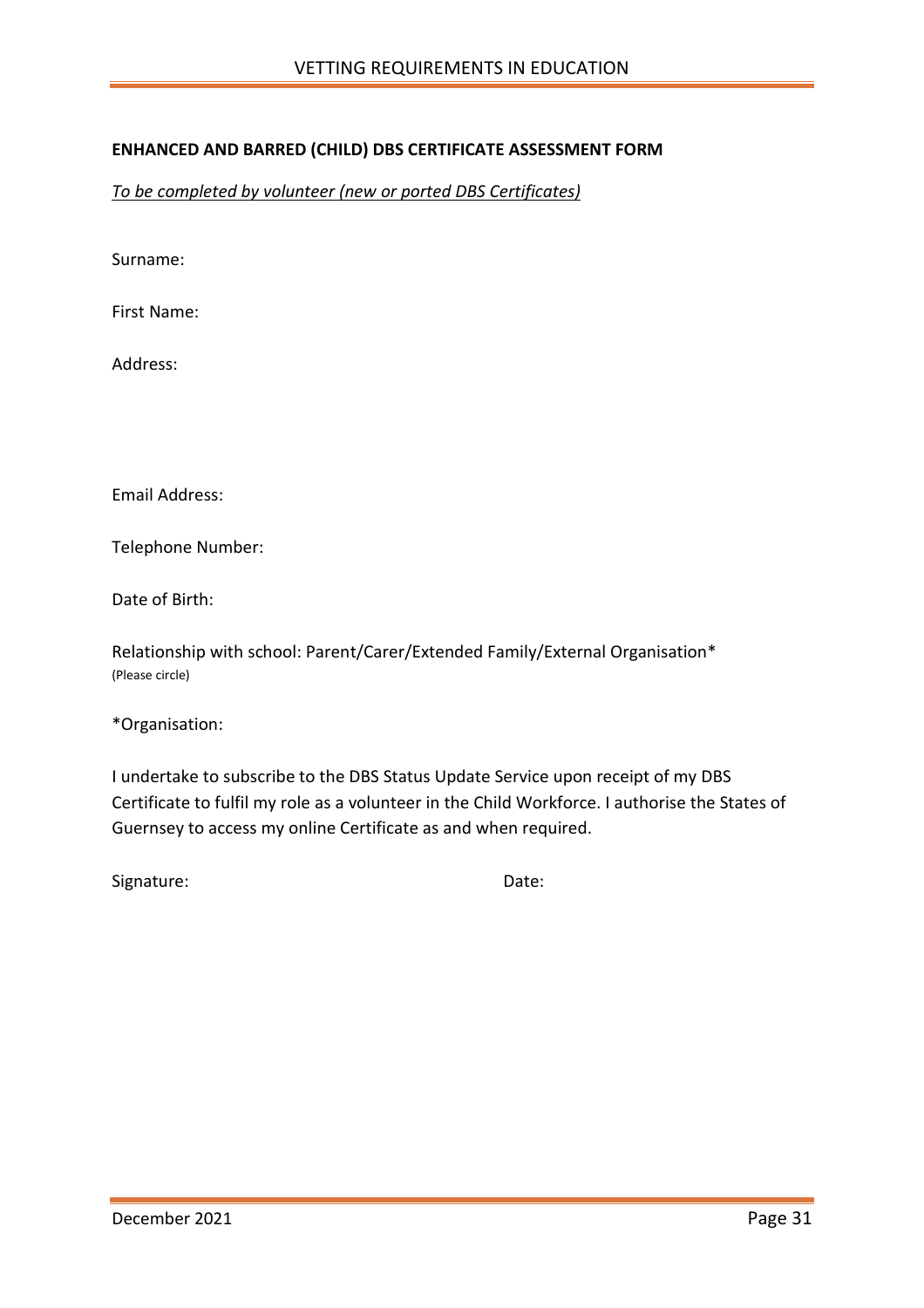#### **ENHANCED AND BARRED (CHILD) DBS CERTIFICATE ASSESSMENT FORM**

*To be completed by volunteer (new or ported DBS Certificates)*

Surname:

First Name:

Address:

Email Address:

Telephone Number:

Date of Birth:

Relationship with school: Parent/Carer/Extended Family/External Organisation\* (Please circle)

\*Organisation:

I undertake to subscribe to the DBS Status Update Service upon receipt of my DBS Certificate to fulfil my role as a volunteer in the Child Workforce. I authorise the States of Guernsey to access my online Certificate as and when required.

Signature: Date: Date: